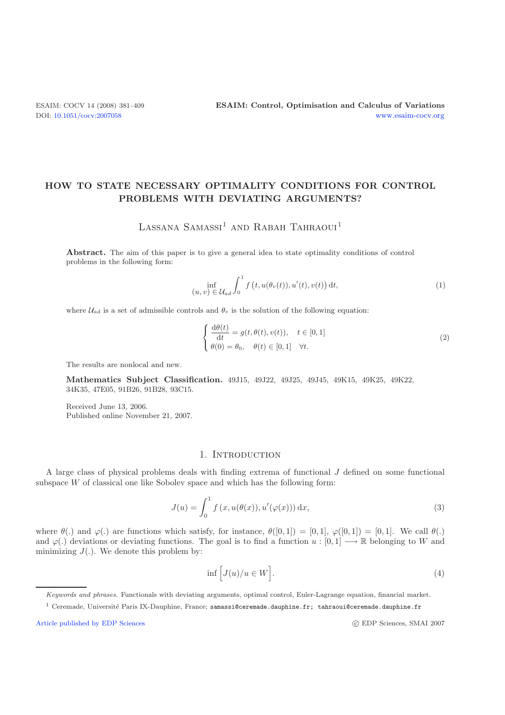# **HOW TO STATE NECESSARY OPTIMALITY CONDITIONS FOR CONTROL PROBLEMS WITH DEVIATING ARGUMENTS?**

LASSANA SAMASSI<sup>1</sup> AND RABAH TAHRAOUI<sup>1</sup>

**Abstract.** The aim of this paper is to give a general idea to state optimality conditions of control problems in the following form:

$$
\inf_{(u,\,v)\,\in\,\mathcal{U}_{ad}}\int_0^1 f\left(t,u(\theta_v(t)),u'(t),v(t)\right)\mathrm{d}t,\tag{1}
$$

where  $\mathcal{U}_{ad}$  is a set of admissible controls and  $\theta_v$  is the solution of the following equation:

$$
\begin{cases}\n\frac{\mathrm{d}\theta(t)}{\mathrm{d}t} = g(t, \theta(t), v(t)), & t \in [0, 1] \\
\theta(0) = \theta_0, & \theta(t) \in [0, 1] \quad \forall t.\n\end{cases}
$$
\n(2)

The results are nonlocal and new.

**Mathematics Subject Classification.** 49J15, 49J22, 49J25, 49J45, 49K15, 49K25, 49K22, 34K35, 47E05, 91B26, 91B28, 93C15.

Received June 13, 2006. Published online November 21, 2007.

## <span id="page-0-0"></span>1. INTRODUCTION

A large class of physical problems deals with finding extrema of functional J defined on some functional subspace  $W$  of classical one like Sobolev space and which has the following form:

$$
J(u) = \int_0^1 f(x, u(\theta(x)), u'(\varphi(x))) dx,
$$
 (3)

where  $\theta(.)$  and  $\varphi(.)$  are functions which satisfy, for instance,  $\theta([0,1]) = [0,1], \varphi([0,1]) = [0,1].$  We call  $\theta(.)$ and  $\varphi(.)$  deviations or deviating functions. The goal is to find a function  $u:[0,1] \longrightarrow \mathbb{R}$  belonging to W and minimizing  $J(.)$ . We denote this problem by:

$$
\inf \Big[ J(u)/u \in W \Big]. \tag{4}
$$

[Article published by EDP Sciences](http://www.edpsciences.org) c EDP Sciences c EDP Sciences, SMAI 2007

Keywords and phrases. Functionals with deviating arguments, optimal control, Euler-Lagrange equation, financial market.

 $1$  Ceremade, Université Paris IX-Dauphine, France; samassi@ceremade.dauphine.fr; tahraoui@ceremade.dauphine.fr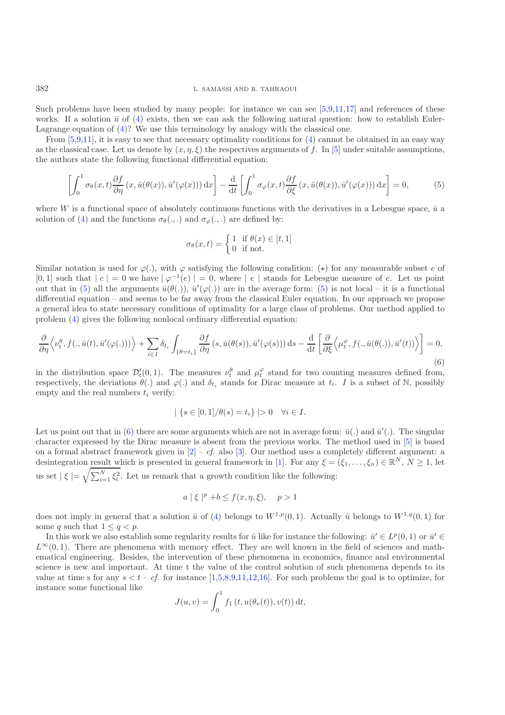Such problems have been studied by many people: for instance we can see [\[5](#page-28-0)[,9](#page-28-1)[,11](#page-28-2)[,17](#page-28-3)] and references of these works. If a solution  $\bar{u}$  of [\(4\)](#page-0-0) exists, then we can ask the following natural question: how to establish Euler-Lagrange equation of [\(4\)](#page-0-0)? We use this terminology by analogy with the classical one.

From  $[5,9,11]$  $[5,9,11]$  $[5,9,11]$  $[5,9,11]$ , it is easy to see that necessary optimality conditions for  $(4)$  cannot be obtained in an easy way as the classical case. Let us denote by  $(x, \eta, \xi)$  the respectives arguments of f. In [\[5\]](#page-28-0) under suitable assumptions, the authors state the following functional differential equation:

$$
\left[\int_0^1 \sigma_\theta(x,t) \frac{\partial f}{\partial \eta}(x,\bar{u}(\theta(x)),\bar{u}'(\varphi(x))) dx\right] - \frac{d}{dt} \left[\int_0^1 \sigma_\varphi(x,t) \frac{\partial f}{\partial \xi}(x,\bar{u}(\theta(x)),\bar{u}'(\varphi(x))) dx\right] = 0,
$$
 (5)

<span id="page-1-1"></span><span id="page-1-0"></span>where W is a functional space of absolutely continuous functions with the derivatives in a Lebesgue space,  $\bar{u}$  a solution of [\(4\)](#page-0-0) and the functions  $\sigma_{\theta}(.,.)$  and  $\sigma_{\varphi}(.,.)$  are defined by:

$$
\sigma_{\theta}(x,t) = \begin{cases} 1 & \text{if } \theta(x) \in [t,1] \\ 0 & \text{if not.} \end{cases}
$$

Similar notation is used for  $\varphi(.)$ , with  $\varphi$  satisfying the following condition: ( $\star$ ) for any measurable subset e of  $[0,1]$  such that  $|e| = 0$  we have  $|\varphi^{-1}(e)| = 0$ , where  $|e|$  stands for Lebesgue measure of e. Let us point out that in [\(5\)](#page-1-0) all the arguments  $\bar{u}(\theta(.)), \bar{u}'(\varphi(.))$  are in the average form: (5) is not local – it is a functional<br>differential equation – and seems to be far away from the classical Euler equation. In our approach we differential equation – and seems to be far away from the classical Euler equation. In our approach we propose a general idea to state necessary conditions of optimality for a large class of problems. Our method applied to problem [\(4\)](#page-0-0) gives the following nonlocal ordinary differential equation:

$$
\frac{\partial}{\partial \eta} \left\langle \nu_t^{\theta}, f(.,\bar{u}(t),\bar{u}'(\varphi(.))) \right\rangle + \sum_{i \in I} \delta_{t_i} \int_{\{\theta = t_i\}} \frac{\partial f}{\partial \eta} \left( s, \bar{u}(\theta(s)),\bar{u}'(\varphi(s)) \right) ds - \frac{d}{dt} \left[ \frac{\partial}{\partial \xi} \left\langle \mu_t^{\varphi}, f(.,\bar{u}(\theta(.)),\bar{u}'(t)) \right\rangle \right] = 0,
$$
\n(6)

in the distribution space  $\mathcal{D}'_t(0,1)$ . The measures  $\nu_t^{\theta}$  and  $\mu_t^{\varphi}$  stand for two counting measures defined from, respectively, the deviations  $\theta(.)$  and  $\varphi(.)$  and  $\delta_{t_i}$  stands for Dirac measure at  $t_i$ . I is a subset of N, possibly empty and the real numbers  $t_i$  verify:

$$
| \{ s \in [0,1] / \theta(s) = t_i \} | > 0 \quad \forall i \in I.
$$

Let us point out that in [\(6\)](#page-1-1) there are some arguments which are not in average form:  $\bar{u}$ (.) and  $\bar{u}'$ (.). The singular character expressed by the Dirac measure is absent from the previous works. The method used in [ character expressed by the Dirac measure is absent from the previous works. The method used in [\[5](#page-28-0)] is based on a formal abstract framework given in  $[2]$  $[2]$  – *cf.* also  $[3]$  $[3]$ . Our method uses a completely different argument: a desintegration result which is presented in general framework in [\[1](#page-28-6)]. For any  $\xi = (\xi_1, \ldots, \xi_n) \in \mathbb{R}^N$ ,  $N \ge 1$ , let us set  $|\xi| = \sqrt{\sum_{i=1}^{N} \xi_i^2}$ . Let us remark that a growth condition like the following:

$$
a \mid \xi \mid^p + b \le f(x, \eta, \xi), \quad p > 1
$$

does not imply in general that a solution  $\bar{u}$  of [\(4\)](#page-0-0) belongs to  $W^{1,p}(0,1)$ . Actually  $\bar{u}$  belongs to  $W^{1,q}(0,1)$  for some q such that  $1 \leq q \leq p$ .

In this work we also establish some regularity results for  $\bar{u}$  like for instance the following:  $\bar{u}' \in L^p(0, 1)$  or  $\bar{u}' \in L^p(0, 1)$  $L^{\infty}(0, 1)$ . There are phenomena with memory effect. They are well known in the field of sciences and mathematical engineering. Besides, the intervention of these phenomena in economics, finance and environmental science is new and important. At time t the value of the control solution of such phenomena depends to its value at time s for any  $s < t - cf$ . for instance [\[1](#page-28-6)[,5](#page-28-0)[,8](#page-28-7)[,9](#page-28-1)[,11](#page-28-2)[,12](#page-28-8)[,16\]](#page-28-9). For such problems the goal is to optimize, for instance some functional like

$$
J(u,v) = \int_0^1 f_1(t, u(\theta_v(t)), v(t)) dt,
$$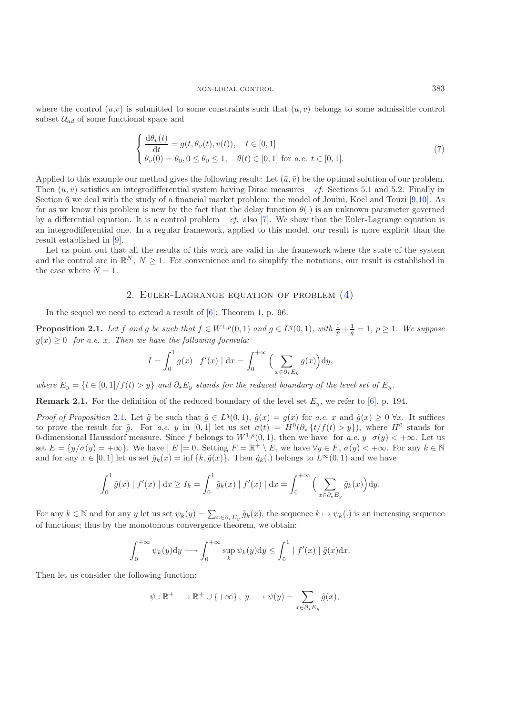where the control  $(u, v)$  is submitted to some constraints such that  $(u, v)$  belongs to some admissible control subset  $\mathcal{U}_{ad}$  of some functional space and

$$
\begin{cases}\n\frac{d\theta_v(t)}{dt} = g(t, \theta_v(t), v(t)), \quad t \in [0, 1] \\
\theta_v(0) = \theta_0, 0 \le \theta_0 \le 1, \quad \theta(t) \in [0, 1] \text{ for a.e. } t \in [0, 1].\n\end{cases}
$$
\n(7)

Applied to this example our method gives the following result: Let  $(\bar{u}, \bar{v})$  be the optimal solution of our problem. Then  $(\bar{u}, \bar{v})$  satisfies an integrodifferential system having Dirac measures – *cf.* Sections 5.1 and 5.2. Finally in Section 6 we deal with the study of a financial market problem: the model of Jouini, Koel and Touzi [\[9](#page-28-1)[,10\]](#page-28-10). As far as we know this problem is new by the fact that the delay function  $\theta(.)$  is an unknown parameter governed by a differential equation. It is a control problem – *cf.* also [\[7](#page-28-11)]. We show that the Euler-Lagrange equation is an integrodifferential one. In a regular framework, applied to this model, our result is more explicit than the result established in [\[9](#page-28-1)].

Let us point out that all the results of this work are valid in the framework where the state of the system and the control are in  $\mathbb{R}^N$ ,  $N \geq 1$ . For convenience and to simplify the notations, our result is established in the case where  $N = 1$ .

#### 2. Euler-Lagrange equation of problem [\(4\)](#page-0-0)

In the sequel we need to extend a result of  $[6]$ : Theorem 1, p. 96.

<span id="page-2-0"></span>**Proposition 2.1.** Let f and g be such that  $f \in W^{1,p}(0,1)$  and  $g \in L^q(0,1)$ , with  $\frac{1}{p} + \frac{1}{q} = 1$ ,  $p \ge 1$ . We suppose  $g(x) \geq 0$  *for a.e. x. Then we have the following formula:* 

$$
I = \int_0^1 g(x) | f'(x) | dx = \int_0^{+\infty} \Big( \sum_{x \in \partial_x E_y} g(x) \Big) dy,
$$

*where*  $E_y = \{t \in [0, 1]/f(t) > y\}$  *and*  $\partial_x E_y$  *stands for the reduced boundary of the level set of*  $E_y$ .

**Remark 2.1.** For the definition of the reduced boundary of the level set  $E_y$ , we refer to [\[6\]](#page-28-12), p. 194.

*Proof of Proposition* [2.1](#page-2-0). Let  $\tilde{g}$  be such that  $\tilde{g} \in L^q(0,1)$ ,  $\tilde{g}(x) = g(x)$  for *a.e.* x and  $\tilde{g}(x) \geq 0 \,\forall x$ . It suffices to prove the result for  $\tilde{g}$ . For *a.e.* y in [0,1] let us set  $\sigma(t) = H^0(\partial_x \{t/f(t) > y\})$ , where  $H^0$  stands for 0-dimensional Haussdorf measure. Since f belongs to  $W^{1,p}(0,1)$ , then we have for *a.e.*  $y \sigma(y) < +\infty$ . Let us set  $E = \{y/\sigma(y) = +\infty\}$ . We have  $|E| = 0$ . Setting  $F = \mathbb{R}^+ \setminus E$ , we have  $\forall y \in F$ ,  $\sigma(y) < +\infty$ . For any  $k \in \mathbb{N}$ and for any  $x \in [0,1]$  let us set  $\tilde{g}_k(x) = \inf \{k, \tilde{g}(x)\}\.$  Then  $\tilde{g}_k(.)$  belongs to  $L^{\infty}(0,1)$  and we have

$$
\int_0^1 \tilde{g}(x) | f'(x) | dx \ge I_k = \int_0^1 \tilde{g}_k(x) | f'(x) | dx = \int_0^{+\infty} \Big( \sum_{x \in \partial_* E_y} \tilde{g}_k(x) \Big) dy.
$$

For any  $k \in \mathbb{N}$  and for any y let us set  $\psi_k(y) = \sum_{x \in \partial_k E_y} \tilde{g}_k(x)$ , the sequence  $k \mapsto \psi_k(.)$  is an increasing sequence of functions; thus by the monotonous convergence theorem, we obtain:

$$
\int_0^{+\infty} \psi_k(y) dy \longrightarrow \int_0^{+\infty} \sup_k \psi_k(y) dy \leq \int_0^1 |f'(x)| \tilde{g}(x) dx.
$$

<span id="page-2-1"></span>Then let us consider the following function:

$$
\psi: \mathbb{R}^+ \longrightarrow \mathbb{R}^+ \cup \{+\infty\} \, , \, y \longrightarrow \psi(y) = \sum_{x \in \partial_x E_y} \tilde{g}(x),
$$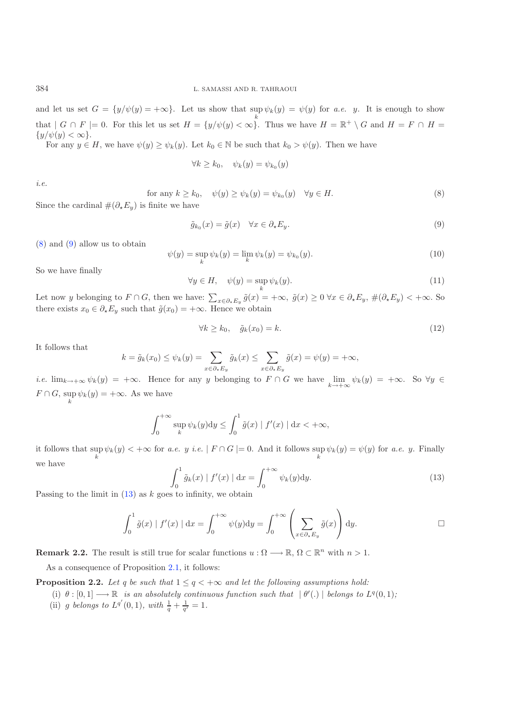and let us set  $G = \{y/\psi(y) = +\infty\}$ . Let us show that  $\sup_k \psi_k(y) = \psi(y)$  for *a.e.* y. It is enough to show that  $|G \cap F| = 0$ . For this let us set  $H = \{y/\psi(y) < \infty\}$ . Thus we have  $H = \mathbb{R}^+ \setminus G$  and  $H = F \cap H =$ <br> $\{y/\psi(y) < \infty\}$ .  $\{y/\psi(y)<\infty\}.$ 

For any  $y \in H$ , we have  $\psi(y) \geq \psi_k(y)$ . Let  $k_0 \in \mathbb{N}$  be such that  $k_0 > \psi(y)$ . Then we have

<span id="page-3-0"></span>
$$
\forall k \geq k_0, \quad \psi_k(y) = \psi_{k_0}(y)
$$

*i.e.*

for any  $k \geq k_0$ ,  $\psi(y) \geq \psi_k(y) = \psi_{k_0}(y) \quad \forall y \in H$ . (8)

Since the cardinal  $#(\partial_{\star} E_y)$  is finite we have

$$
\tilde{g}_{k_0}(x) = \tilde{g}(x) \quad \forall x \in \partial_{\star} E_y.
$$
\n(9)

[\(8\)](#page-2-1) and [\(9\)](#page-3-0) allow us to obtain

$$
\psi(y) = \sup_{k} \psi_k(y) = \lim_{k} \psi_k(y) = \psi_{k_0}(y).
$$
\n(10)

So we have finally

$$
\forall y \in H, \quad \psi(y) = \sup_{k} \psi_k(y). \tag{11}
$$

Let now y belonging to  $F \cap G$ , then we have:  $\sum_{x \in \partial_x E_y} \tilde{g}(x) = +\infty$ ,  $\tilde{g}(x) \ge 0$   $\forall x \in \partial_x E_y$ ,  $\#(\partial_x E_y) < +\infty$ . So there exists  $x_0 \in \partial_x E_y$  such that  $\tilde{g}(x_0)=+\infty$ . Hence we obtain

$$
\forall k \ge k_0, \quad \tilde{g}_k(x_0) = k. \tag{12}
$$

It follows that

<span id="page-3-1"></span>
$$
k = \tilde{g}_k(x_0) \le \psi_k(y) = \sum_{x \in \partial_k E_y} \tilde{g}_k(x) \le \sum_{x \in \partial_k E_y} \tilde{g}(x) = \psi(y) = +\infty,
$$

*i.e.*  $\lim_{k \to +\infty} \psi_k(y) = +\infty$ . Hence for any y belonging to  $F \cap G$  we have  $\lim_{k \to +\infty} \psi_k(y) = +\infty$ . So  $\forall y \in$  $F \cap G$ , sup  $\psi_k(y) = +\infty$ . As we have

$$
\int_0^{+\infty} \sup_k \psi_k(y) dy \le \int_0^1 \tilde{g}(x) | f'(x) | dx < +\infty,
$$

it follows that  $\sup_k \psi_k(y) < +\infty$  for *a.e.* y *i.e.* |  $F \cap G$  |= 0. And it follows  $\sup_k \psi_k(y) = \psi(y)$  for *a.e.* y. Finally we have

$$
\int_0^1 \tilde{g}_k(x) | f'(x) | dx = \int_0^{+\infty} \psi_k(y) dy.
$$
 (13)

Passing to the limit in  $(13)$  as k goes to infinity, we obtain

$$
\int_0^1 \tilde{g}(x) | f'(x) | dx = \int_0^{+\infty} \psi(y) dy = \int_0^{+\infty} \left( \sum_{x \in \partial_x E_y} \tilde{g}(x) \right) dy.
$$

**Remark 2.2.** The result is still true for scalar functions  $u : \Omega \longrightarrow \mathbb{R}, \Omega \subset \mathbb{R}^n$  with  $n > 1$ .

As a consequence of Proposition [2.1,](#page-2-0) it follows:

<span id="page-3-2"></span>**Proposition 2.2.** Let q be such that  $1 \leq q \leq +\infty$  and let the following assumptions hold:

- (i)  $\theta: [0,1] \longrightarrow \mathbb{R}$  *is an absolutely continuous function such that*  $|\theta'(.)|$  *belongs to*  $L^q(0,1)$ ;<br>ii) a helongs to  $L^{q'}(0,1)$  with  $\frac{1}{q} + \frac{1}{q} = 1$
- (ii) g *belongs to*  $L^{q'}(0, 1)$ *, with*  $\frac{1}{q} + \frac{1}{q'} = 1$ *.*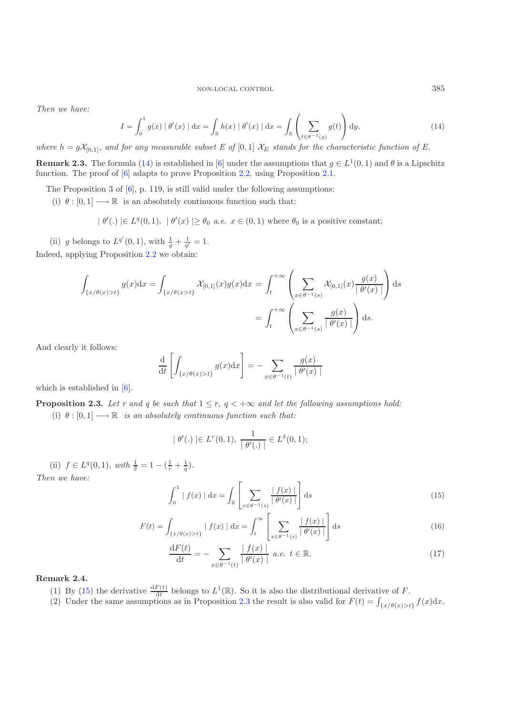<span id="page-4-0"></span>*Then we have:*

$$
I = \int_0^1 g(x) \mid \theta'(x) \mid dx = \int_{\mathbb{R}} h(x) \mid \theta'(x) \mid dx = \int_{\mathbb{R}} \left( \sum_{t \in \theta^{-1}(y)} g(t) \right) dy,
$$
 (14)

*where*  $h = gX_{[0,1]}$ *, and for any measurable subset* E of  $[0,1]$   $X_E$  *stands for the characteristic function of E.* 

**Remark 2.3.** The formula [\(14\)](#page-4-0) is established in [\[6\]](#page-28-12) under the assumptions that  $g \in L^1(0,1)$  and  $\theta$  is a Lipschitz function. The proof of [\[6\]](#page-28-12) adapts to prove Proposition [2.2,](#page-3-2) using Proposition [2.1.](#page-2-0)

The Proposition 3 of [\[6\]](#page-28-12), p. 119, is still valid under the following assumptions:

(i)  $\theta : [0, 1] \longrightarrow \mathbb{R}$  is an absolutely continuous function such that:

 $| \theta'(.) | \in L^q(0,1), | \theta'(x) | \ge \theta_0 \text{ a.e. } x \in (0,1) \text{ where } \theta_0 \text{ is a positive constant};$ 

<span id="page-4-1"></span>(ii) g belongs to  $L^{q'}(0,1)$ , with  $\frac{1}{q} + \frac{1}{q'} = 1$ . Indeed, applying Proposition [2.2](#page-3-2) we obtain:

$$
\int_{\{x/\theta(x)>t\}} g(x) dx = \int_{\{x/\theta(x>t\}} \mathcal{X}_{[0,1]}(x) g(x) dx = \int_{t}^{+\infty} \left( \sum_{x \in \theta^{-1}(s)} \mathcal{X}_{[0,1]}(x) \frac{g(x)}{|\theta'(x)|} \right) ds
$$

$$
= \int_{t}^{+\infty} \left( \sum_{x \in \theta^{-1}(s)} \frac{g(x)}{|\theta'(x)|} \right) ds.
$$

And clearly it follows:

$$
\frac{\mathrm{d}}{\mathrm{d}t} \left[ \int_{\{x/\theta(x) > t\}} g(x) \mathrm{d}x \right] = - \sum_{x \in \theta^{-1}(t)} \frac{g(x)}{|\theta'(x)|}
$$

<span id="page-4-2"></span>which is established in [\[6](#page-28-12)].

**Proposition 2.3.** Let r and q be such that  $1 \leq r$ ,  $q < +\infty$  and let the following assumptions hold:

<span id="page-4-4"></span><span id="page-4-3"></span>(i)  $\theta : [0, 1] \longrightarrow \mathbb{R}$  *is an absolutely continuous function such that:* 

$$
|\theta'(.)| \in L^r(0,1), \frac{1}{|\theta'(.)|} \in L^{\delta}(0,1);
$$

(ii)  $f \in L^q(0,1)$ , with  $\frac{1}{\delta} = 1 - (\frac{1}{r} + \frac{1}{q})$ . *Then we have:*

$$
\int_0^1 | f(x) | dx = \int_{\mathbb{R}} \left[ \sum_{x \in \theta^{-1}(s)} \frac{|f(x)|}{|\theta'(x)|} \right] ds \tag{15}
$$

$$
F(t) = \int_{\{x/\theta(x) > t\}} |f(x)| dx = \int_{t}^{\infty} \left[ \sum_{x \in \theta^{-1}(s)} \frac{|f(x)|}{|\theta'(x)|} \right] ds
$$
 (16)

$$
\frac{\mathrm{d}F(t)}{\mathrm{d}t} = -\sum_{x \in \theta^{-1}(t)} \frac{|f(x)|}{|\theta'(x)|} \ a.e. \ t \in \mathbb{R}.\tag{17}
$$

#### **Remark 2.4.**

- (1) By [\(15\)](#page-4-1) the derivative  $\frac{dF(t)}{dt}$  belongs to  $L^1(\mathbb{R})$ . So it is also the distributional derivative of F.<br>(2) Under the same assumptions as in Proposition 2.3 the result is also valid for  $F(t) = 0$ .
- (2) Under the same assumptions as in Proposition [2.3](#page-4-2) the result is also valid for  $F(t) = \int_{\{x/\theta(x) > t\}} f(x) dx$ .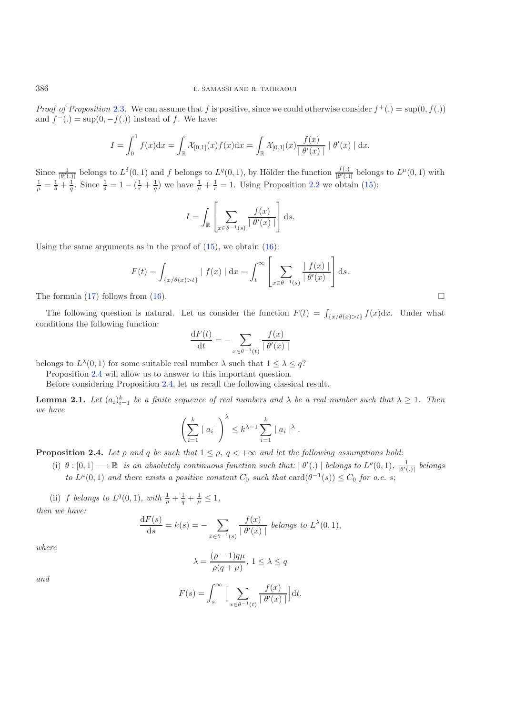*Proof of Proposition* [2.3](#page-4-2). We can assume that f is positive, since we could otherwise consider  $f^+(\cdot) = \sup(0, f(\cdot))$ and  $f^{-}(.)=\sup(0,-f(.))$  instead of f. We have:

$$
I = \int_0^1 f(x) dx = \int_{\mathbb{R}} \mathcal{X}_{[0,1]}(x) f(x) dx = \int_{\mathbb{R}} \mathcal{X}_{[0,1]}(x) \frac{f(x)}{|\theta'(x)|} |\theta'(x)| dx.
$$

Since  $\frac{1}{|\theta'(\cdot)|}$  belongs to  $L^{\delta}(0,1)$  and f belongs to  $L^{q}(0,1)$ , by Hölder the function  $\frac{f(\cdot)}{|\theta'(\cdot)|}$  belongs to  $L^{\mu}(0,1)$  with  $\frac{1}{\mu} = \frac{1}{\delta} + \frac{1}{\sigma}$ . Since  $\frac{1}{\delta} = 1 - (\frac{1}{r} + \frac{1}{\sigma})$  we have  $\frac{$ 

$$
I = \int_{\mathbb{R}} \left[ \sum_{x \in \theta^{-1}(s)} \frac{f(x)}{|\theta'(x)|} \right] ds.
$$

Using the same arguments as in the proof of  $(15)$ , we obtain  $(16)$ :

$$
F(t) = \int_{\{x/\theta(x) > t\}} |f(x)| dx = \int_t^{\infty} \left[ \sum_{x \in \theta^{-1}(s)} \frac{|f(x)|}{|\theta'(x)|} \right] ds.
$$

The formula [\(17\)](#page-4-4) follows from [\(16\)](#page-4-3).

The following question is natural. Let us consider the function  $F(t) = \int_{\{x/\theta(x) > t\}} f(x) dx$ . Under what conditions the following function:

$$
\frac{\mathrm{d}F(t)}{\mathrm{d}t} = -\sum_{x \in \theta^{-1}(t)} \frac{f(x)}{|\theta'(x)|}
$$

belongs to  $L^{\lambda}(0,1)$  for some suitable real number  $\lambda$  such that  $1 \leq \lambda \leq q$ ?

Proposition [2.4](#page-5-0) will allow us to answer to this important question.

Before considering Proposition [2.4,](#page-5-0) let us recall the following classical result.

<span id="page-5-1"></span>**Lemma 2.1.** Let  $(a_i)_{i=1}^k$  be a finite sequence of real numbers and  $\lambda$  be a real number such that  $\lambda \geq 1$ . Then *we have*

$$
\left(\sum_{i=1}^k |a_i| \right)^{\lambda} \leq k^{\lambda - 1} \sum_{i=1}^k |a_i|^{\lambda} .
$$

<span id="page-5-0"></span>**Proposition 2.4.** *Let*  $\rho$  *and*  $q$  *be such that*  $1 \leq \rho$ ,  $q < +\infty$  *and let the following assumptions hold:* 

(i)  $\theta: [0,1] \longrightarrow \mathbb{R}$  *is an absolutely continuous function such that:*  $|\theta'(.)|$  *belongs to*  $L^{\rho}(0,1)$ *,*  $\frac{1}{|\theta'(.)|}$  *belongs to*  $L^{\mu}(0,1)$  *and there exists a positive constant*  $C_0$  *such that*  $card(\theta^{-1}(s)) \leq C_0$  *for a.e. s*;

(ii) f *belongs to*  $L^q(0,1)$ *, with*  $\frac{1}{\rho} + \frac{1}{q} + \frac{1}{\mu} \leq 1$ *, then we have:*

$$
\frac{\mathrm{d}F(s)}{\mathrm{d}s} = k(s) = -\sum_{x \in \theta^{-1}(s)} \frac{f(x)}{|\theta'(x)|} \text{ belongs to } L^{\lambda}(0,1),
$$

*where*

$$
\lambda = \frac{(\rho - 1)q\mu}{\rho(q + \mu)}, \ 1 \le \lambda \le q
$$

*and*

$$
F(s) = \int_s^{\infty} \Big[ \sum_{x \in \theta^{-1}(t)} \frac{f(x)}{|\theta'(x)|} \Big] dt.
$$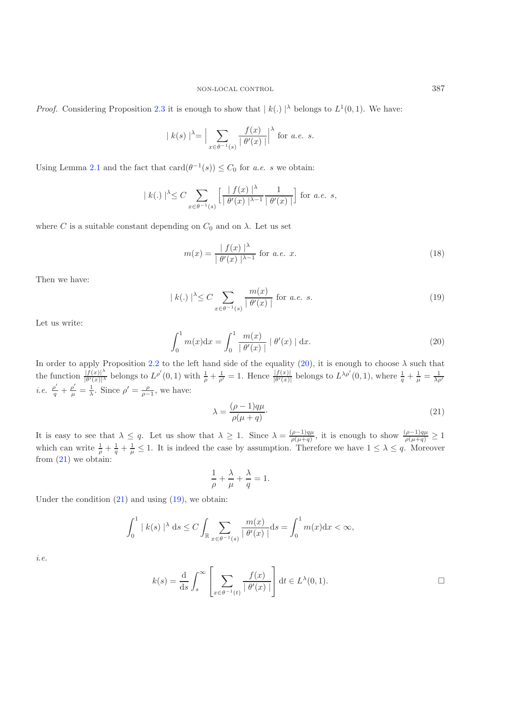*Proof.* Considering Proposition [2.3](#page-4-2) it is enough to show that  $| k(.) |^{\lambda}$  belongs to  $L^1(0,1)$ . We have:

$$
|k(s)|^{\lambda} = \Big| \sum_{x \in \theta^{-1}(s)} \frac{f(x)}{|\theta'(x)|} \Big|^{\lambda}
$$
 for *a.e.* s.

Using Lemma [2.1](#page-5-1) and the fact that  $\text{card}(\theta^{-1}(s)) \leq C_0$  for *a.e.* s we obtain:

<span id="page-6-2"></span><span id="page-6-0"></span>
$$
| k(.) |^{\lambda} \leq C \sum_{x \in \theta^{-1}(s)} \left[ \frac{|f(x)|^{\lambda}}{|\theta'(x)|^{\lambda-1}} \frac{1}{|\theta'(x)|} \right] \text{ for a.e. } s,
$$

where C is a suitable constant depending on  $C_0$  and on  $\lambda$ . Let us set

$$
m(x) = \frac{|f(x)|^{\lambda}}{|\theta'(x)|^{\lambda - 1}} \text{ for a.e. } x.
$$
 (18)

Then we have:

<span id="page-6-1"></span>
$$
| k(.) |\lambda \le C \sum_{x \in \theta^{-1}(s)} \frac{m(x)}{|\theta'(x)|} \text{ for a.e. s.}
$$
 (19)

Let us write:

$$
\int_0^1 m(x) dx = \int_0^1 \frac{m(x)}{|\theta'(x)|} |\theta'(x)| dx.
$$
 (20)

In order to apply Proposition [2.2](#page-3-2) to the left hand side of the equality [\(20\)](#page-6-0), it is enough to choose  $\lambda$  such that<br>the function  $\frac{|f(x)|^{\lambda}}{|\theta'(x)|^{\lambda}}$  belongs to  $L^{\rho'}(0,1)$  with  $\frac{1}{\rho} + \frac{1}{\rho'} = 1$ . Hence  $\frac{|f(x)|}{|\theta$ *i.e.*  $\frac{\rho'}{q} + \frac{\rho'}{\mu} = \frac{1}{\lambda}$ . Since  $\rho' = \frac{\rho}{\rho - 1}$ , we have:

$$
\lambda = \frac{(\rho - 1)q\mu}{\rho(\mu + q)}.
$$
\n(21)

It is easy to see that  $\lambda \leq q$ . Let us show that  $\lambda \geq 1$ . Since  $\lambda = \frac{(\rho-1)q\mu}{\rho(\mu+q)}$ , it is enough to show  $\frac{(\rho-1)q\mu}{\rho(\mu+q)} \geq 1$ which can write  $\frac{1}{\rho} + \frac{1}{q} + \frac{1}{\mu} \leq 1$ . It is indeed the case by assumption. Therefore we have  $1 \leq \lambda \leq q$ . Moreover from [\(21\)](#page-6-1) we obtain:

$$
\frac{1}{\rho} + \frac{\lambda}{\mu} + \frac{\lambda}{q} = 1.
$$

Under the condition  $(21)$  and using  $(19)$ , we obtain:

$$
\int_0^1 |k(s)|^{\lambda} ds \le C \int_{\mathbb{R}} \sum_{x \in \theta^{-1}(s)} \frac{m(x)}{|\theta'(x)|} ds = \int_0^1 m(x) dx < \infty,
$$

*i.e.*

$$
k(s) = \frac{\mathrm{d}}{\mathrm{d}s} \int_s^{\infty} \left[ \sum_{x \in \theta^{-1}(t)} \frac{f(x)}{|\theta'(x)|} \right] \mathrm{d}t \in L^{\lambda}(0,1).
$$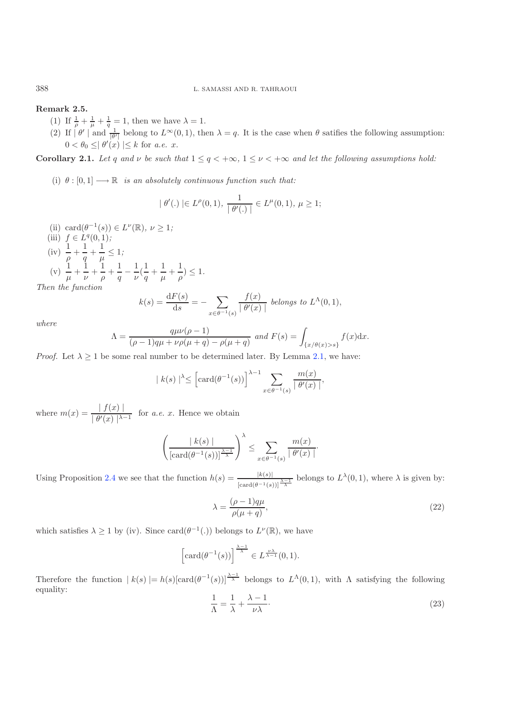**Remark 2.5.**

- (1) If  $\frac{1}{\rho} + \frac{1}{\mu} + \frac{1}{q} = 1$ , then we have  $\lambda = 1$ .
- (2) If  $|\theta'|$  and  $\frac{1}{|\theta'|}$  belong to  $L^{\infty}(0, 1)$ , then  $\lambda = q$ . It is the case when  $\theta$  satifies the following assumption:  $0 < \theta_0 \leq |\theta'(x)| \leq k \text{ for a.e. } x.$

<span id="page-7-2"></span>**Corollary 2.1.** *Let* q and v be such that  $1 \leq q < +\infty$ ,  $1 \leq v < +\infty$  and let the following assumptions hold:

(i)  $\theta : [0, 1] \longrightarrow \mathbb{R}$  *is an absolutely continuous function such that:* 

$$
|\theta'(.)| \in L^{\rho}(0,1), \frac{1}{|\theta'(.)|} \in L^{\mu}(0,1), \mu \ge 1;
$$

(ii) card( $\theta^{-1}(s)$ )  $\in L^{\nu}(\mathbb{R}), \nu \geq 1;$ <br>(iii)  $f \in L^{q}(0, 1)$ (iii)  $f \in L^q(0,1);$ <br>*i* 1 1 1  $(iv)$   $\frac{1}{-}$ ρ  $+1$  $\mathbf{i}$  $+1$  $\overline{1}$ ≤ 1*;* (v)  $\frac{1}{\mu} + \frac{1}{\nu} + \frac{1}{\rho}$ ρ  $+\frac{1}{q} - \frac{1}{\nu}(\frac{1}{q})$  $\overline{a}$  $+\frac{1}{1}$  $\mathcal{L}$  $^{+1}$ ρ  $) \leq 1$ .

µ *Then the function*

$$
k(s) = \frac{\mathrm{d}F(s)}{\mathrm{d}s} = -\sum_{x \in \theta^{-1}(s)} \frac{f(x)}{|\theta'(x)|} \text{ belongs to } L^{\Lambda}(0,1),
$$

*where*

$$
\Lambda = \frac{q\mu\nu(\rho - 1)}{(\rho - 1)q\mu + \nu\rho(\mu + q) - \rho(\mu + q)} \text{ and } F(s) = \int_{\{x/\theta(x) > s\}} f(x) dx.
$$

*Proof.* Let  $\lambda \geq 1$  be some real number to be determined later. By Lemma [2.1,](#page-5-1) we have:

<span id="page-7-0"></span>
$$
| k(s) |^{\lambda} \leq \left[ \operatorname{card}(\theta^{-1}(s)) \right]^{\lambda - 1} \sum_{x \in \theta^{-1}(s)} \frac{m(x)}{|\theta'(x)|},
$$

where  $m(x) = \frac{|f(x)|}{| \theta'(x) |^{\lambda-1}}$  for *a.e. x*. Hence we obtain

<span id="page-7-1"></span>
$$
\left(\frac{|k(s)|}{\left[\operatorname{card}(\theta^{-1}(s))\right]^{\frac{\lambda-1}{\lambda}}}\right)^{\lambda} \leq \sum_{x \in \theta^{-1}(s)} \frac{m(x)}{|\theta'(x)|}.
$$

Using Proposition [2.4](#page-5-0) we see that the function  $h(s) = \frac{|k(s)|}{\left[\text{card}(\theta^{-1}(s))\right]^{\frac{\lambda-1}{\lambda}}}$  belongs to  $L^{\lambda}(0,1)$ , where  $\lambda$  is given by:

$$
\lambda = \frac{(\rho - 1)q\mu}{\rho(\mu + q)},\tag{22}
$$

which satisfies  $\lambda \geq 1$  by (iv). Since card( $\theta^{-1}$ .)) belongs to  $L^{\nu}(\mathbb{R})$ , we have

$$
\left[\operatorname{card}(\theta^{-1}(s))\right]^{\frac{\lambda-1}{\lambda}} \in L^{\frac{\nu\lambda}{\lambda-1}}(0,1).
$$

Therefore the function  $| k(s) | = h(s)[card(\theta^{-1}(s))]^{\frac{\lambda-1}{\lambda}}$  belongs to  $L^{\Lambda}(0,1)$ , with  $\Lambda$  satisfying the following equality: equality:

$$
\frac{1}{\Lambda} = \frac{1}{\lambda} + \frac{\lambda - 1}{\nu \lambda}.\tag{23}
$$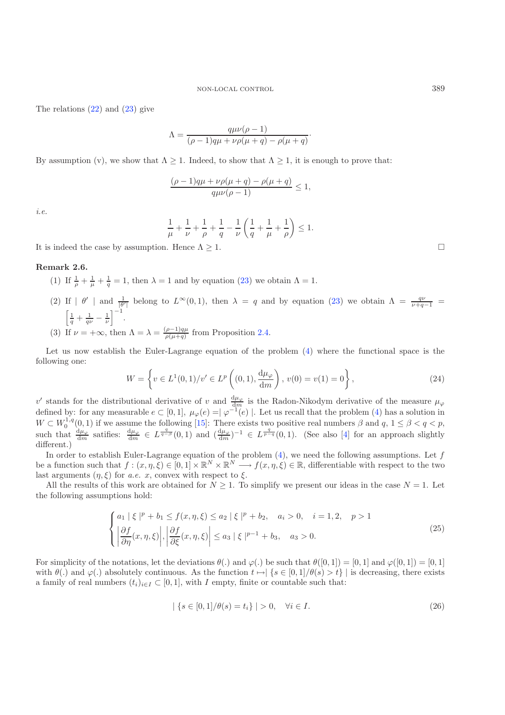The relations  $(22)$  and  $(23)$  give

$$
\Lambda = \frac{q\mu\nu(\rho - 1)}{(\rho - 1)q\mu + \nu\rho(\mu + q) - \rho(\mu + q)}.
$$

By assumption (v), we show that  $\Lambda \geq 1$ . Indeed, to show that  $\Lambda \geq 1$ , it is enough to prove that:

$$
\frac{(\rho-1)q\mu + \nu\rho(\mu+q) - \rho(\mu+q)}{q\mu\nu(\rho-1)} \le 1,
$$

*i.e.*

$$
\frac{1}{\mu} + \frac{1}{\nu} + \frac{1}{\rho} + \frac{1}{q} - \frac{1}{\nu} \left( \frac{1}{q} + \frac{1}{\mu} + \frac{1}{\rho} \right) \le 1.
$$

It is indeed the case by assumption. Hence  $\Lambda \geq 1$ .

### **Remark 2.6.**

- (1) If  $\frac{1}{\rho} + \frac{1}{\mu} + \frac{1}{q} = 1$ , then  $\lambda = 1$  and by equation [\(23\)](#page-7-1) we obtain  $\Lambda = 1$ .
- (2) If  $|\theta'|$  and  $\frac{1}{|\theta'|}$  belong to  $L^{\infty}(0,1)$ , then  $\lambda = q$  and by equation [\(23\)](#page-7-1) we obtain  $\Lambda = \frac{q\nu}{\nu+q-1}$  $\left[\frac{1}{a} + \frac{1}{a\nu} - \frac{1}{\nu}\right]^{-1}$ . (3) If  $\nu = +\infty$ , then  $\Lambda = \lambda = \frac{(\rho - 1)q\mu}{\rho(\mu + q)}$  from Proposition [2.4.](#page-5-0)

Let us now establish the Euler-Lagrange equation of the problem [\(4\)](#page-0-0) where the functional space is the following one:

$$
W = \left\{ v \in L^{1}(0,1)/v' \in L^{p}\left((0,1), \frac{d\mu_{\varphi}}{dm}\right), v(0) = v(1) = 0 \right\},
$$
\n(24)

<span id="page-8-1"></span>v' stands for the distributional derivative of v and  $\frac{d\mu_{\varphi}}{dm}$  is the Radon-Nikodym derivative of the measure  $\mu_{\varphi}$ defined by: for any measurable  $e \subset [0,1]$ ,  $\mu_{\varphi}(e) = |\varphi^{-1}(e)|$ . Let us recall that the problem [\(4\)](#page-0-0) has a solution in<br> $W \subset W^{1,q}(0,1)$  if we assume the following [15]. These oviets two positive neal numbers  $\beta$  and  $\alpha, 1 \$  $W \subset W_0^{1,q}(0,1)$  if we assume the following [\[15\]](#page-28-13): There exists two positive real numbers  $\beta$  and  $q, 1 \leq \beta < q < p$ ,<br>such that  $\frac{d\mu_{\varphi}}{dm}$  satifies:  $\frac{d\mu_{\varphi}}{dm} \in L^{\frac{q}{q-\beta}}(0,1)$  and  $(\frac{d\mu_{\varphi}}{dm})^{-1} \in L^{\frac{q}{p-q}}$ different.)

In order to establish Euler-Lagrange equation of the problem [\(4\)](#page-0-0), we need the following assumptions. Let f<br>a function such that  $f: (x, p, \xi) \in [0, 1] \times \mathbb{R}^N \times \mathbb{R}^N \longrightarrow f(x, p, \xi) \in \mathbb{R}$  differentiable with respect to the be a function such that  $f : (x, \eta, \xi) \in [0, 1] \times \mathbb{R}^N \times \mathbb{R}^N \longrightarrow f(x, \eta, \xi) \in \mathbb{R}$ , differentiable with respect to the two<br>last arguments  $(n, \xi)$  for  $a \in \mathcal{X}$  convex with respect to  $\xi$ last arguments  $(\eta, \xi)$  for *a.e.* x, convex with respect to  $\xi$ .

All the results of this work are obtained for  $N \geq 1$ . To simplify we present our ideas in the case  $N = 1$ . Let the following assumptions hold:

<span id="page-8-0"></span>
$$
\begin{cases}\na_1 \mid \xi \mid^p + b_1 \le f(x, \eta, \xi) \le a_2 \mid \xi \mid^p + b_2, \quad a_i > 0, \quad i = 1, 2, \quad p > 1 \\
\left| \frac{\partial f}{\partial \eta}(x, \eta, \xi) \right|, \left| \frac{\partial f}{\partial \xi}(x, \eta, \xi) \right| \le a_3 \mid \xi \mid^{p-1} + b_3, \quad a_3 > 0.\n\end{cases} \tag{25}
$$

For simplicity of the notations, let the deviations  $\theta(.)$  and  $\varphi(.)$  be such that  $\theta([0,1]) = [0,1]$  and  $\varphi([0,1]) = [0,1]$ with  $\theta(.)$  and  $\varphi(.)$  absolutely continuous. As the function  $t \mapsto \{s \in [0,1]/\theta(s) > t\}$  is decreasing, there exists a family of real numbers  $(t_i)_{i\in I} \subset [0,1]$ , with I empty, finite or countable such that:

$$
|\{s \in [0,1]/\theta(s) = t_i\}| > 0, \quad \forall i \in I.
$$
\n(26)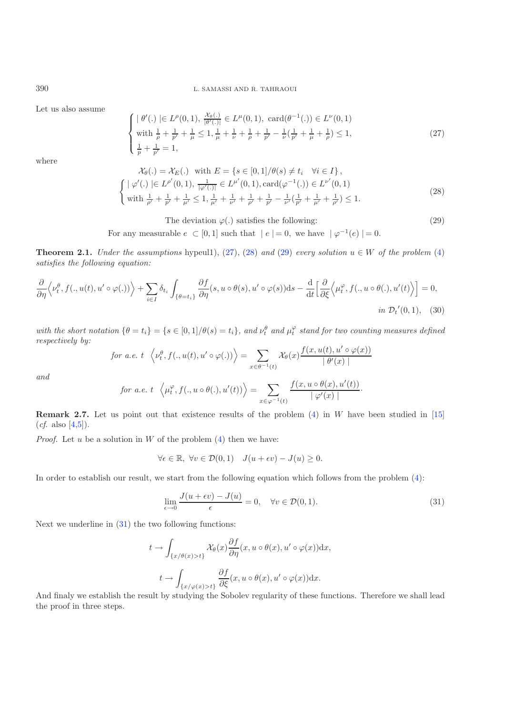<span id="page-9-1"></span><span id="page-9-0"></span>390 L. SAMASSI AND R. TAHRAOUI

Let us also assume

$$
\begin{cases} \n\mid \theta'(.) \mid \in L^{\rho}(0,1), \frac{\mathcal{X}_{\theta}(.)}{|\theta'(.)|} \in L^{\mu}(0,1), \operatorname{card}(\theta^{-1}(.) \in L^{\nu}(0,1))\\ \n\text{with } \frac{1}{\rho} + \frac{1}{p'} + \frac{1}{\mu} \leq 1, \frac{1}{\mu} + \frac{1}{\nu} + \frac{1}{\rho} + \frac{1}{p'} - \frac{1}{\nu}(\frac{1}{p'} + \frac{1}{\mu} + \frac{1}{\rho}) \leq 1, \\ \n\frac{1}{p} + \frac{1}{p'} = 1, \n\end{cases} \tag{27}
$$

where

$$
\mathcal{X}_{\theta}(.) = \mathcal{X}_{E}(.) \quad \text{with } E = \{s \in [0,1] / \theta(s) \neq t_{i} \quad \forall i \in I\},
$$
\n
$$
\begin{cases}\n|\varphi'(.)| \in L^{\rho'}(0,1), \frac{1}{|\varphi'(.)|} \in L^{\mu'}(0,1), \operatorname{card}(\varphi^{-1}(.)) \in L^{\nu'}(0,1) \\
\text{with } \frac{1}{\rho'} + \frac{1}{p'} + \frac{1}{\mu'} \leq 1, \frac{1}{\mu'} + \frac{1}{\nu'} + \frac{1}{\rho'} + \frac{1}{p'} - \frac{1}{\nu'}(\frac{1}{p'} + \frac{1}{\mu'} + \frac{1}{\rho'}) \leq 1.\n\end{cases}
$$
\n(28)

<span id="page-9-5"></span>The deviation  $\varphi(.)$  satisfies the following: (29)

For any measurable  $e \subset [0,1]$  such that  $|e| = 0$ , we have  $|\varphi^{-1}(e)| = 0$ .

<span id="page-9-4"></span><span id="page-9-2"></span>**Theorem 2.1.** *Under the assumptions* hypeul1),  $(27)$ ,  $(28)$  *and*  $(29)$  *every solution*  $u \in W$  *of the problem*  $(4)$ *satisfies the following equation:*

$$
\frac{\partial}{\partial \eta} \left\langle \nu_t^{\theta}, f(., u(t), u' \circ \varphi(.)) \right\rangle + \sum_{i \in I} \delta_{t_i} \int_{\{\theta = t_i\}} \frac{\partial f}{\partial \eta}(s, u \circ \theta(s), u' \circ \varphi(s)) ds - \frac{d}{dt} \Big[ \frac{\partial}{\partial \xi} \left\langle \mu_t^{\varphi}, f(., u \circ \theta(.), u'(t)) \right\rangle = 0,
$$
  
in  $\mathcal{D}_t'(0, 1), (30)$ 

with the short notation  $\{\theta = t_i\} = \{s \in [0,1]/\theta(s) = t_i\}$ , and  $\nu_t^{\theta}$  and  $\mu_t^{\varphi}$  stand for two counting measures defined *respectively by:*

$$
for a.e. t \left\langle \nu_t^{\theta}, f(., u(t), u' \circ \varphi(.)) \right\rangle = \sum_{x \in \theta^{-1}(t)} \mathcal{X}_{\theta}(x) \frac{f(x, u(t), u' \circ \varphi(x))}{|\theta'(x)|}
$$

*and*

<span id="page-9-3"></span>for a.e. 
$$
t \left\langle \mu_t^{\varphi}, f(., u \circ \theta(.), u'(t)) \right\rangle = \sum_{x \in \varphi^{-1}(t)} \frac{f(x, u \circ \theta(x), u'(t))}{\left| \varphi'(x) \right|}.
$$

**Remark 2.7.** Let us point out that existence results of the problem [\(4\)](#page-0-0) in W have been studied in [\[15](#page-28-13)] (*cf*. also [\[4](#page-28-14)[,5](#page-28-0)]).

*Proof.* Let  $u$  be a solution in  $W$  of the problem  $(4)$  then we have:

 $\forall \epsilon \in \mathbb{R}, \ \forall v \in \mathcal{D}(0,1) \quad J(u+\epsilon v) - J(u) \geq 0.$ 

In order to establish our result, we start from the following equation which follows from the problem [\(4\)](#page-0-0):

$$
\lim_{\epsilon \to 0} \frac{J(u + \epsilon v) - J(u)}{\epsilon} = 0, \quad \forall v \in \mathcal{D}(0, 1).
$$
\n(31)

Next we underline in [\(31\)](#page-9-3) the two following functions:

$$
t \to \int_{\{x/\theta(x) > t\}} \mathcal{X}_{\theta}(x) \frac{\partial f}{\partial \eta}(x, u \circ \theta(x), u' \circ \varphi(x)) dx,
$$
  

$$
t \to \int_{\{x/\varphi(x) > t\}} \frac{\partial f}{\partial \xi}(x, u \circ \theta(x), u' \circ \varphi(x)) dx.
$$

 $t \to \int_{\{x/\varphi(x)>t\}} \frac{\partial f}{\partial \xi}(x, u \circ \theta(x), u' \circ \varphi(x)) dx.$ <br>And finaly we establish the result by studying the Sobolev regularity of these functions. Therefore we shall lead the proof in three steps.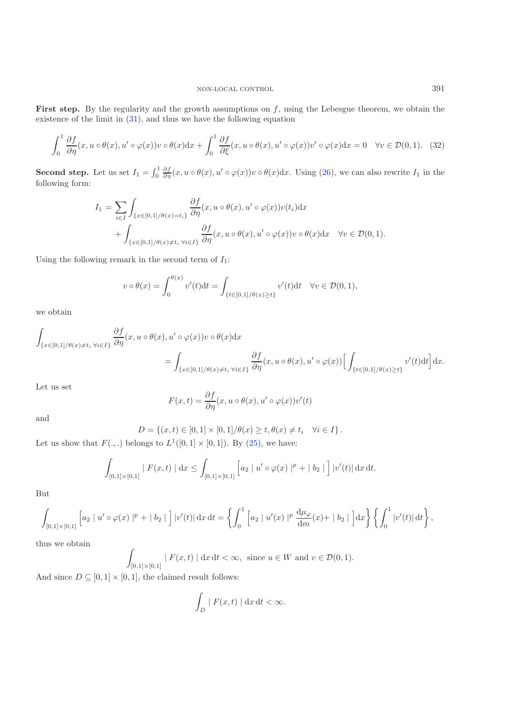**First step.** By the regularity and the growth assumptions on  $f$ , using the Lebesgue theorem, we obtain the existence of the limit in [\(31\)](#page-9-3), and thus we have the following equation

$$
\int_0^1 \frac{\partial f}{\partial \eta}(x, u \circ \theta(x), u' \circ \varphi(x))v \circ \theta(x)dx + \int_0^1 \frac{\partial f}{\partial \xi}(x, u \circ \theta(x), u' \circ \varphi(x))v' \circ \varphi(x)dx = 0 \quad \forall v \in \mathcal{D}(0, 1). \tag{32}
$$

<span id="page-10-1"></span><span id="page-10-0"></span>**Second step.** Let us set  $I_1 = \int_0^1 \frac{\partial f}{\partial \eta}(x, u \circ \theta(x), u' \circ \varphi(x))v \circ \theta(x) dx$ . Using [\(26\)](#page-8-0), we can also rewrite  $I_1$  in the following form:

$$
I_1 = \sum_{i \in I} \int_{\{x \in [0,1]/\theta(x) = t_i\}} \frac{\partial f}{\partial \eta}(x, u \circ \theta(x), u' \circ \varphi(x)) v(t_i) dx + \int_{\{x \in [0,1]/\theta(x) \neq t_i \; \forall i \in I\}} \frac{\partial f}{\partial \eta}(x, u \circ \theta(x), u' \circ \varphi(x)) v \circ \theta(x) dx \quad \forall v \in \mathcal{D}(0,1).
$$

Using the following remark in the second term of  $I_1$ :

$$
v \circ \theta(x) = \int_0^{\theta(x)} v'(t) dt = \int_{\{t \in [0,1]/\theta(x) \ge t\}} v'(t) dt \quad \forall v \in \mathcal{D}(0,1),
$$

we obtain

$$
\int_{\{x \in [0,1]/\theta(x) \neq t_i \,\forall i \in I\}} \frac{\partial f}{\partial \eta}(x, u \circ \theta(x), u' \circ \varphi(x))v \circ \theta(x) dx
$$
\n
$$
= \int_{\{x \in [0,1]/\theta(x) \neq t_i \,\forall i \in I\}} \frac{\partial f}{\partial \eta}(x, u \circ \theta(x), u' \circ \varphi(x)) \Big[ \int_{\{t \in [0,1]/\theta(x) \ge t\}} v'(t) dt \Big] dx.
$$

Let us set

$$
F(x,t) = \frac{\partial f}{\partial \eta}(x, u \circ \theta(x), u' \circ \varphi(x))v'(t)
$$

and

$$
D = \{(x, t) \in [0, 1] \times [0, 1] / \theta(x) \ge t, \theta(x) \ne t_i \quad \forall i \in I\}.
$$

Let us show that  $F(.,.)$  belongs to  $L^1([0,1] \times [0,1])$ . By [\(25\)](#page-8-1), we have:

$$
\int_{[0,1]\times[0,1]}|F(x,t)| dx \leq \int_{[0,1]\times[0,1]} \left[a_2|u'\circ\varphi(x)|^p + |b_2|\right] |v'(t)| dx dt.
$$

But

$$
\int_{[0,1]\times[0,1]} \left[ a_2 \mid u' \circ \varphi(x) \mid^p + |b_2| \right] |v'(t)| \, \mathrm{d}x \, \mathrm{d}t = \left\{ \int_0^1 \left[ a_2 \mid u'(x) \mid^p \frac{\mathrm{d}\mu_{\varphi}}{\mathrm{d}m}(x) + |b_2| \right] \mathrm{d}x \right\} \left\{ \int_0^1 |v'(t)| \, \mathrm{d}t \right\},
$$

thus we obtain

 $\overline{\phantom{a}}$  $\left| \begin{array}{c} |F(x,t)| \, dx \, dt < \infty, \text{ since } u \in W \text{ and } v \in \mathcal{D}(0,1). \end{array} \right|$ 

And since  $D \subseteq [0,1] \times [0,1]$ , the claimed result follows:

$$
\int_D |F(x,t)| dx dt < \infty.
$$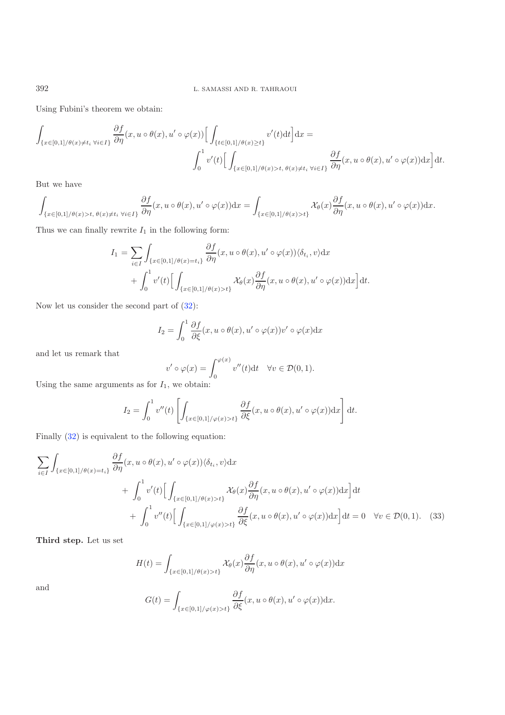Using Fubini's theorem we obtain:

$$
\int_{\{x \in [0,1]/\theta(x) \neq t_i \,\forall i \in I\}} \frac{\partial f}{\partial \eta}(x, u \circ \theta(x), u' \circ \varphi(x)) \Big[ \int_{\{t \in [0,1]/\theta(x) \ge t\}} v'(t) dt \Big] dx =
$$
\n
$$
\int_0^1 v'(t) \Big[ \int_{\{x \in [0,1]/\theta(x) > t, \,\theta(x) \neq t_i \,\forall i \in I\}} \frac{\partial f}{\partial \eta}(x, u \circ \theta(x), u' \circ \varphi(x)) dx \Big] dt.
$$

But we have

$$
\int_{\{x\in[0,1]/\theta(x)>t,\ \theta(x)\neq t_i\ \forall i\in I\}}\frac{\partial f}{\partial \eta}(x,u\circ\theta(x),u'\circ\varphi(x))\mathrm{d} x=\int_{\{x\in[0,1]/\theta(x)>t\}}\chi_{\theta}(x)\frac{\partial f}{\partial \eta}(x,u\circ\theta(x),u'\circ\varphi(x))\mathrm{d} x.
$$

Thus we can finally rewrite  $I_1$  in the following form:

$$
I_1 = \sum_{i \in I} \int_{\{x \in [0,1]/\theta(x) = t_i\}} \frac{\partial f}{\partial \eta}(x, u \circ \theta(x), u' \circ \varphi(x)) \langle \delta_{t_i}, v \rangle dx + \int_0^1 v'(t) \Big[ \int_{\{x \in [0,1]/\theta(x) > t\}} \mathcal{X}_{\theta}(x) \frac{\partial f}{\partial \eta}(x, u \circ \theta(x), u' \circ \varphi(x)) dx \Big] dt.
$$

Now let us consider the second part of [\(32\)](#page-10-0):

$$
I_2 = \int_0^1 \frac{\partial f}{\partial \xi}(x, u \circ \theta(x), u' \circ \varphi(x))v' \circ \varphi(x)dx
$$

and let us remark that

$$
v' \circ \varphi(x) = \int_0^{\varphi(x)} v''(t) dt \quad \forall v \in \mathcal{D}(0,1).
$$

Using the same arguments as for  $I_1$ , we obtain:

$$
I_2 = \int_0^1 v''(t) \left[ \int_{\{x \in [0,1]/\varphi(x) > t\}} \frac{\partial f}{\partial \xi}(x, u \circ \theta(x), u' \circ \varphi(x)) dx \right] dt.
$$

Finally [\(32\)](#page-10-0) is equivalent to the following equation:

$$
\sum_{i \in I} \int_{\{x \in [0,1]/\theta(x) = t_i\}} \frac{\partial f}{\partial \eta}(x, u \circ \theta(x), u' \circ \varphi(x)) \langle \delta_{t_i}, v \rangle dx \n+ \int_0^1 v'(t) \Big[ \int_{\{x \in [0,1]/\theta(x) > t\}} \mathcal{X}_{\theta}(x) \frac{\partial f}{\partial \eta}(x, u \circ \theta(x), u' \circ \varphi(x)) dx \Big] dt \n+ \int_0^1 v''(t) \Big[ \int_{\{x \in [0,1]/\varphi(x) > t\}} \frac{\partial f}{\partial \xi}(x, u \circ \theta(x), u' \circ \varphi(x)) dx \Big] dt = 0 \quad \forall v \in \mathcal{D}(0,1). \quad (33)
$$

**Third step.** Let us set

$$
H(t) = \int_{\{x \in [0,1]/\theta(x) > t\}} \mathcal{X}_{\theta}(x) \frac{\partial f}{\partial \eta}(x, u \circ \theta(x), u' \circ \varphi(x)) dx
$$

and

$$
G(t) = \int_{\{x \in [0,1]/\varphi(x) > t\}} \frac{\partial f}{\partial \xi}(x, u \circ \theta(x), u' \circ \varphi(x)) \mathrm{d}x.
$$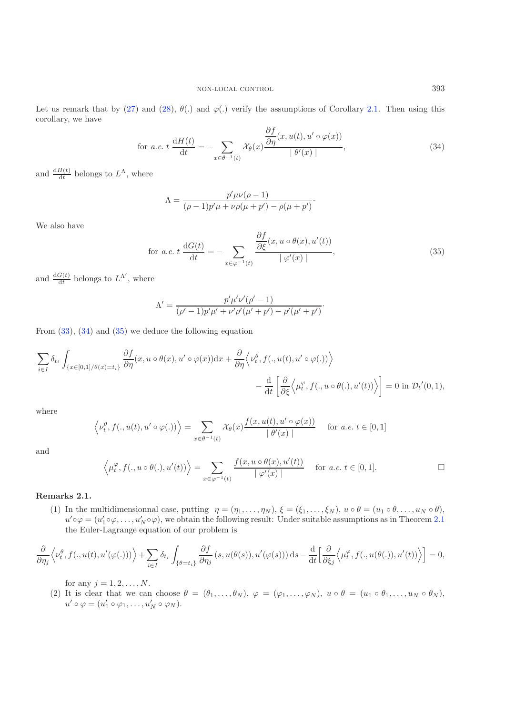<span id="page-12-1"></span><span id="page-12-0"></span>Let us remark that by [\(27\)](#page-9-0) and [\(28\)](#page-9-1),  $\theta(.)$  and  $\varphi(.)$  verify the assumptions of Corollary [2.1.](#page-7-2) Then using this corollary, we have

$$
\text{for } a.e. \ t \ \frac{\mathrm{d}H(t)}{\mathrm{d}t} = -\sum_{x \in \theta^{-1}(t)} \mathcal{X}_{\theta}(x) \frac{\frac{\partial f}{\partial \eta}(x, u(t), u' \circ \varphi(x))}{|\ \theta'(x) |},\tag{34}
$$

and  $\frac{dH(t)}{dt}$  belongs to  $L^{\Lambda}$ , where

$$
\Lambda = \frac{p' \mu \nu (\rho - 1)}{(\rho - 1)p' \mu + \nu \rho (\mu + p') - \rho (\mu + p')}.
$$

We also have

$$
\text{for } a.e. \ t \ \frac{\mathrm{d}G(t)}{\mathrm{d}t} = -\sum_{x \in \varphi^{-1}(t)} \frac{\frac{\partial f}{\partial \xi}(x, u \circ \theta(x), u'(t))}{\left| \varphi'(x) \right|},\tag{35}
$$

and  $\frac{dG(t)}{dt}$  belongs to  $L^{\Lambda'}$ , where

$$
\Lambda' = \frac{p'\mu'\nu'(\rho'-1)}{(\rho'-1)p'\mu' + \nu'\rho'(\mu'+p') - \rho'(\mu'+p')}.
$$

From [\(33\)](#page-10-1), [\(34\)](#page-12-0) and [\(35\)](#page-12-1) we deduce the following equation

$$
\sum_{i \in I} \delta_{t_i} \int_{\{x \in [0,1] / \theta(x) = t_i\}} \frac{\partial f}{\partial \eta}(x, u \circ \theta(x), u' \circ \varphi(x)) dx + \frac{\partial}{\partial \eta} \Big\langle \nu_t^{\theta}, f(., u(t), u' \circ \varphi(.)) \Big\rangle - \frac{d}{dt} \left[ \frac{\partial}{\partial \xi} \Big\langle \mu_t^{\varphi}, f(., u \circ \theta(.), u'(t)) \Big\rangle \right] = 0 \text{ in } \mathcal{D}_t'(0, 1),
$$

where

$$
\left\langle \nu_t^{\theta}, f(.,u(t), u' \circ \varphi(.)) \right\rangle = \sum_{x \in \theta^{-1}(t)} \mathcal{X}_{\theta}(x) \frac{f(x, u(t), u' \circ \varphi(x))}{|\theta'(x)|} \quad \text{for a.e. } t \in [0,1]
$$

and

$$
\left\langle \mu_t^{\varphi}, f(., u \circ \theta(.), u'(t)) \right\rangle = \sum_{x \in \varphi^{-1}(t)} \frac{f(x, u \circ \theta(x), u'(t))}{|\varphi'(x)|} \quad \text{for a.e. } t \in [0, 1].
$$

### **Remarks 2.1.**

(1) In the multidimensionnal case, putting  $\eta = (\eta_1, \ldots, \eta_N)$ ,  $\xi = (\xi_1, \ldots, \xi_N)$ ,  $u \circ \theta = (u_1 \circ \theta, \ldots, u_N \circ \theta)$ ,  $u' \circ \varphi = (u'_1 \circ \varphi, \dots, u'_N \circ \varphi)$ , we obtain the following result: Under suitable assumptions as in Theorem [2.1](#page-9-4) the Euler-Lagrange equation of our problem is

$$
\frac{\partial}{\partial \eta_j} \Big\langle \nu_t^{\theta}, f(.,u(t),u'(\varphi(.))) \Big\rangle + \sum_{i \in I} \delta_{t_i} \int_{\{\theta = t_i\}} \frac{\partial f}{\partial \eta_j} \left( s, u(\theta(s)), u'(\varphi(s)) \right) \mathrm{d} s - \frac{\mathrm{d}}{\mathrm{d} t} \Big[ \frac{\partial}{\partial \xi_j} \Big\langle \mu_t^{\varphi}, f(.,u(\theta(.)), u'(t)) \Big\rangle \Big] = 0,
$$

for any  $j = 1, 2, \ldots, N$ .

(2) It is clear that we can choose  $\theta = (\theta_1, \ldots, \theta_N)$ ,  $\varphi = (\varphi_1, \ldots, \varphi_N)$ ,  $u \circ \theta = (u_1 \circ \theta_1, \ldots, u_N \circ \theta_N)$ ,  $u' \circ \varphi = (u'_1 \circ \varphi_1, \ldots, u'_N \circ \varphi_N).$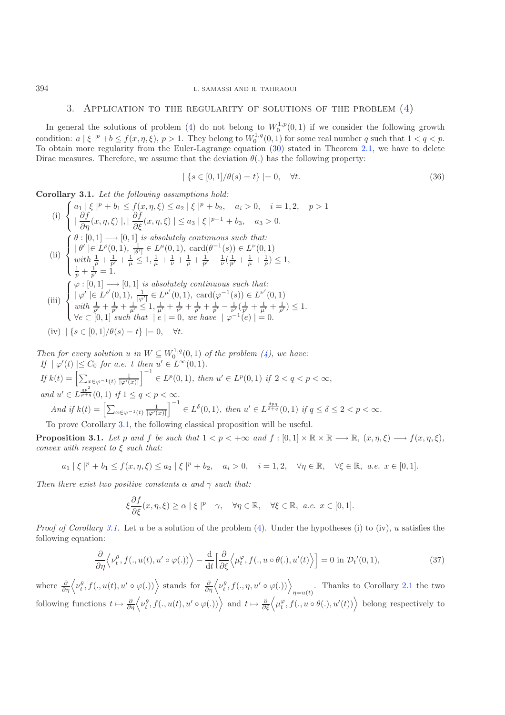#### 3. Application to the regularity of solutions of the problem [\(4\)](#page-0-0)

In general the solutions of problem [\(4\)](#page-0-0) do not belong to  $W_0^{1,p}(0,1)$  if we consider the following growth<br>adition:  $a \mid \xi |^p + b \le f(x, p, \xi)$ ,  $p > 1$ . They belong to  $W_0^{1,q}(0, 1)$  for some real number g such that  $1 \leq a \leq p$ condition:  $a \mid \xi \mid^p + b \le f(x, \eta, \xi), p > 1$ . They belong to  $W_0^{1,q}(0, 1)$  for some real number q such that  $1 < q < p$ .<br>To obtain more requierity from the Euler-Lagrange equation (30) stated in Theorem 2.1, we have to delete To obtain more regularity from the Euler-Lagrange equation [\(30\)](#page-9-5) stated in Theorem [2.1,](#page-9-4) we have to delete Dirac measures. Therefore, we assume that the deviation  $\theta(.)$  has the following property:

$$
|\{s \in [0,1] / \theta(s) = t\}| = 0, \quad \forall t.
$$
\n(36)

<span id="page-13-0"></span>**Corollary 3.1.** *Let the following assumptions hold:*

(i)  $\sqrt{ }$  $\left\vert \right\vert$  $\sqrt{2}$  $a_1 \mid \xi \mid^p + b_1 \le f(x, \eta, \xi) \le a_2 \mid \xi \mid^p + b_2, \quad a_i > 0, \quad i = 1, 2, \quad p > 1$  $\left|\frac{\partial J}{\partial \eta}(x,\eta,\xi)\right|, \left|\frac{\partial J}{\partial \xi}(x,\eta,\xi)\right| \leq a_3 \left|\xi\right|^{p-1} + b_3, \quad a_3 > 0.$ <br>  $\theta \cdot [0,1] \longrightarrow [0,1]$  is abacked a continuous such that (ii)  $\sqrt{ }$  $\int$  $\overline{\mathcal{N}}$  $\theta : [0, 1] \longrightarrow [0, 1]$  *is absolutely continuous such that:*<br> $\theta' \models L^{\rho}(0, 1) \xrightarrow{1} \in L^{\mu}(0, 1) \text{ card}(0^{-1}(\epsilon)) \in L^{\nu}(0)$  $|\theta'| \in L^{\rho}(0,1), \frac{1}{|\theta'|} \in L^{\mu}(0,1), \text{ card}(\theta^{-1}(s)) \in L^{\nu}(0,1)$  $with \frac{1}{p} + \frac{1}{p'} + \frac{1}{\mu} \leq 1, \frac{1}{\mu} + \frac{1}{\nu} + \frac{1}{\rho} + \frac{1}{p'} - \frac{1}{\nu}(\frac{1}{p'} + \frac{1}{\mu} + \frac{1}{\rho}) \leq 1,$ <br>  $\frac{1}{p} + \frac{1}{p'} = 1.$  $\frac{1}{p'}=1.$ (iii)  $\sqrt{ }$  $\int$  $\overline{\mathcal{L}}$  $\varphi : [0,1] \longrightarrow [0,1]$  *is absolutely continuous such that:*<br> $\bigcup_{\alpha' \in L} P_{\alpha'}(0,1) = \bigcup_{\alpha \in L} P_{\alpha'}(0,1) \bigcup_{\alpha \in L} P_{\alpha'}(0,1) = \bigcup_{\alpha \in L} P_{\alpha'}(0,1)$  $|\varphi'| \in L^{\rho'}(0,1), \frac{1}{|\varphi'|} \in L^{\mu'}(0,1), \operatorname{card}(\varphi^{-1}(s)) \in L^{\nu'}(0,1)$ <br> *with*  $\frac{1}{\rho'} + \frac{1}{p'} + \frac{1}{\mu'} \leq 1, \frac{1}{\mu'} + \frac{1}{\nu'} + \frac{1}{\rho'} + \frac{1}{\rho'} + \frac{1}{p'} - \frac{1}{\nu'}(\frac{1}{p'} + \frac{1}{\mu'} + \frac{1}{\rho'}) \leq 1.$  $\forall e \subset [0, 1]$  *such that*  $|e| = 0$ *, we have*  $|\varphi^{-1}(e)| = 0$ . (iv)  $| \{ s \in [0, 1] / \theta(s) = t \} | = 0, \quad \forall t.$ 

*Then for every solution* u *in*  $W \subseteq W_0^{1,q}(0,1)$  *of the problem [\(4\)](#page-0-0), we have:*<br> *If*  $\downarrow \varphi'(t) \leq C_0$  for  $g \circ t$  then  $y' \in L^{\infty}(0,1)$ *If*  $|\varphi'(t)| \leq C_0$  *for a.e. t then*  $u' \in L^{\infty}(0, 1)$ .  $If k(t) = \left[ \sum_{x \in \varphi^{-1}(t)} \frac{1}{|\varphi'(x)|} \right]^{-1} \in L^p(0,1), \text{ then } u' \in L^p(0,1) \text{ if } 2 < q < p < \infty,$ *and*  $u' \in L^{\frac{qp^2}{p+q}}(0,1)$  *if*  $1 \leq q < p < \infty$ . *And if*  $k(t) = \left[ \sum_{x \in \varphi^{-1}(t)} \frac{1}{|\varphi'(x)|} \right]^{-1} \in L^{\delta}(0, 1)$ *, then*  $u' \in L^{\frac{\delta pq}{\delta + q}}(0, 1)$  *if*  $q \leq \delta \leq 2 < p < \infty$ . To prove Corollary [3.1,](#page-13-0) the following classical proposition will be useful.

<span id="page-13-2"></span>**Proposition 3.1.** *Let* p and f *be such that*  $1 < p < +\infty$  *and*  $f : [0, 1] \times \mathbb{R} \times \mathbb{R} \longrightarrow \mathbb{R}, (x, \eta, \xi) \longrightarrow f(x, \eta, \xi)$ *, convex with respect to* ξ *such that:*

$$
a_1 | \xi |^p + b_1 \le f(x, \eta, \xi) \le a_2 | \xi |^p + b_2, \quad a_i > 0, \quad i = 1, 2, \quad \forall \eta \in \mathbb{R}, \quad \forall \xi \in \mathbb{R}, \ a.e. \ x \in [0, 1].
$$

*Then there exist two positive constants*  $\alpha$  *and*  $\gamma$  *such that:* 

$$
\xi \frac{\partial f}{\partial \xi}(x, \eta, \xi) \ge \alpha \mid \xi \mid^p - \gamma, \quad \forall \eta \in \mathbb{R}, \quad \forall \xi \in \mathbb{R}, \ a.e. \ x \in [0, 1].
$$

*Proof of Corollary* [3.1.](#page-13-0) Let u be a solution of the problem [\(4\)](#page-0-0). Under the hypotheses (i) to (iv), u satisfies the following equation:

$$
\frac{\partial}{\partial \eta} \left\langle \nu_t^{\theta}, f(., u(t), u' \circ \varphi(.)) \right\rangle - \frac{\mathrm{d}}{\mathrm{d}t} \left[ \frac{\partial}{\partial \xi} \left\langle \mu_t^{\varphi}, f(., u \circ \theta(.), u'(t) \right\rangle \right] = 0 \text{ in } \mathcal{D}_t'(0, 1),\tag{37}
$$

<span id="page-13-1"></span>where  $\frac{\partial}{\partial \eta} \left\langle \nu_t^{\theta}, f(.), u(t), u' \circ \varphi(.)\right\rangle$  stands for  $\frac{\partial}{\partial \eta} \left\langle \nu_t^{\theta}, f(.), \eta, u' \circ \varphi(.)\right\rangle_{\eta=u(t)}$ . Thanks to Corollary [2.1](#page-7-2) the two following functions  $t \mapsto \frac{\partial}{\partial \eta} \left\langle \nu_t^{\theta}, f(.,u(t), u' \circ \varphi(.)) \right\rangle$  and  $t \mapsto \frac{\partial}{\partial \xi} \left\langle \mu_t^{\varphi}, f(.,u \circ \theta(.), u'(t)) \right\rangle$  belong respectively to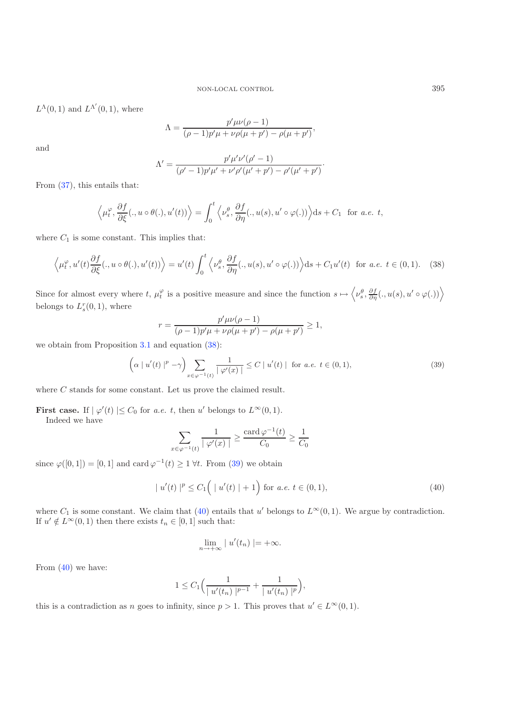$L^{\Lambda}(0,1)$  and  $L^{\Lambda'}(0,1)$ , where

$$
\Lambda = \frac{p' \mu \nu (\rho - 1)}{(\rho - 1)p' \mu + \nu \rho (\mu + p') - \rho (\mu + p')},
$$

and

$$
\Lambda' = \frac{p'\mu'\nu'(\rho'-1)}{(\rho'-1)p'\mu' + \nu'\rho'(\mu'+p') - \rho'(\mu'+p')}.
$$

From [\(37\)](#page-13-1), this entails that:

$$
\left\langle \mu_t^{\varphi}, \frac{\partial f}{\partial \xi}(., u \circ \theta(.), u'(t)) \right\rangle = \int_0^t \left\langle \nu_s^{\theta}, \frac{\partial f}{\partial \eta}(., u(s), u' \circ \varphi(.)) \right\rangle ds + C_1 \text{ for } a.e. t,
$$

<span id="page-14-0"></span>where  $C_1$  is some constant. This implies that:

<span id="page-14-1"></span>
$$
\left\langle \mu_t^{\varphi}, u'(t) \frac{\partial f}{\partial \xi}(., u \circ \theta(.), u'(t)) \right\rangle = u'(t) \int_0^t \left\langle \nu_s^{\theta}, \frac{\partial f}{\partial \eta}(., u(s), u' \circ \varphi(.)) \right\rangle ds + C_1 u'(t) \text{ for a.e. } t \in (0, 1).
$$
 (38)

Since for almost every where t,  $\mu_t^{\varphi}$  is a positive measure and since the function  $s \mapsto \left\langle \nu_s^{\theta}, \frac{\partial f}{\partial \eta} (., u(s), u' \circ \varphi(.) \right\rangle$ belongs to  $L_s^r(0,1)$ , where

$$
r = \frac{p'\mu\nu(\rho - 1)}{(\rho - 1)p'\mu + \nu\rho(\mu + p') - \rho(\mu + p')} \ge 1,
$$

we obtain from Proposition [3.1](#page-13-2) and equation [\(38\)](#page-14-0):

<span id="page-14-2"></span>
$$
\left(\alpha \mid u'(t) \mid^p - \gamma\right) \sum_{x \in \varphi^{-1}(t)} \frac{1}{\left|\varphi'(x)\right|} \le C \mid u'(t) \mid \text{ for a.e. } t \in (0,1),\tag{39}
$$

where C stands for some constant. Let us prove the claimed result.

**First case.** If  $|\varphi'(t)| \leq C_0$  for *a.e.* t, then u' belongs to  $L^{\infty}(0, 1)$ .<br>Indeed we have Indeed we have

$$
\sum_{x \in \varphi^{-1}(t)} \frac{1}{|\varphi'(x)|} \ge \frac{\operatorname{card} \varphi^{-1}(t)}{C_0} \ge \frac{1}{C_0}
$$

since  $\varphi([0, 1]) = [0, 1]$  and card  $\varphi^{-1}(t) \geq 1 \forall t$ . From [\(39\)](#page-14-1) we obtain

$$
|u'(t)|^p \le C_1 \left( |u'(t)| + 1 \right) \text{ for a.e. } t \in (0, 1), \tag{40}
$$

where  $C_1$  is some constant. We claim that [\(40\)](#page-14-2) entails that u' belongs to  $L^{\infty}(0,1)$ . We argue by contradiction. If  $u' \notin L^{\infty}(0, 1)$  then there exists  $t_n \in [0, 1]$  such that:

$$
\lim_{n \to +\infty} |u'(t_n)| = +\infty.
$$

From [\(40\)](#page-14-2) we have:

$$
1 \leq C_1 \Big( \frac{1}{|u'(t_n)|^{p-1}} + \frac{1}{|u'(t_n)|^p} \Big),
$$

this is a contradiction as n goes to infinity, since  $p > 1$ . This proves that  $u' \in L^{\infty}(0, 1)$ .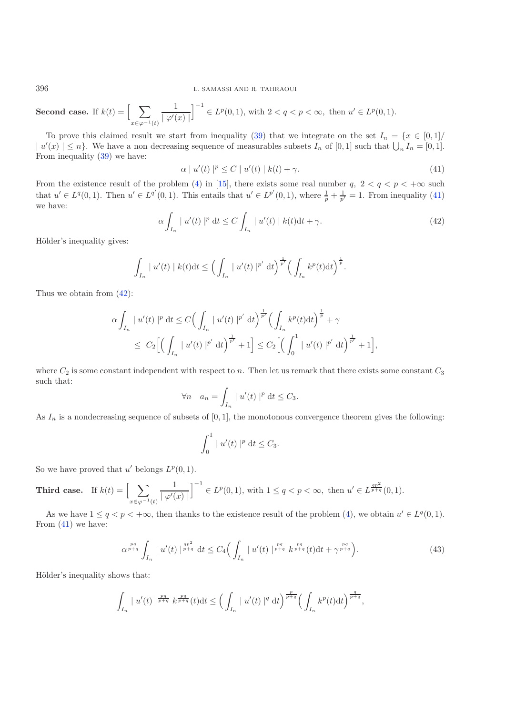396 L. SAMASSI AND R. TAHRAOUI

**Second case.** If  $k(t) = \left[\sum_{x \in \varphi^{-1}(t)}\right]$ 1  $\mid \varphi'(x) \mid$  $\Big]^{-1} \in L^p(0,1)$ , with  $2 < q < p < \infty$ , then  $u' \in L^p(0,1)$ .

To prove this claimed result we start from inequality [\(39\)](#page-14-1) that we integrate on the set  $I_n = \{x \in [0,1]\}$  $|u'(x)| \leq n$ . We have a non decreasing sequence of measurables subsets  $I_n$  of  $[0,1]$  such that  $\bigcup_n I_n = [0,1]$ .<br>From inequality (30) we have: From inequality [\(39\)](#page-14-1) we have:

$$
\alpha \mid u'(t) \mid^{p} \le C \mid u'(t) \mid k(t) + \gamma. \tag{41}
$$

From the existence result of the problem [\(4\)](#page-0-0) in [\[15](#page-28-13)], there exists some real number  $q, 2 < q < p < +\infty$  such that  $x' \in I^{q'}(0, 1)$ . This entails that  $x' \in I^{p'}(0, 1)$ , where  $1 + 1 = 1$ . From inequality (41) that  $u' \in L^q(0,1)$ . Then  $u' \in L^{q'}(0,1)$ . This entails that  $u' \in L^{p'}(0,1)$ , where  $\frac{1}{p} + \frac{1}{p'} = 1$ . From inequality [\(41\)](#page-15-0) we have:

$$
\alpha \int_{I_n} |u'(t)|^p dt \le C \int_{I_n} |u'(t)| k(t) dt + \gamma.
$$
\n(42)

Hölder's inequality gives:

 $\overline{\phantom{a}}$  $\int_{I_n} |u'(t)| k(t) dt \leq \Big(\int$  $\int_{I_n}\mid u'(t)\mid^{p'}{\rm d}t\Bigr)^{\frac{1}{p'}}\Big(\int$  $\int_{I_n} k^p(t) dt \bigg)^{\frac{1}{p}}$ 

<span id="page-15-2"></span>Thus we obtain from  $(42)$ :

$$
\alpha \int_{I_n} |u'(t)|^p dt \le C \Big( \int_{I_n} |u'(t)|^{p'} dt \Big)^{\frac{1}{p'}} \Big( \int_{I_n} k^p(t) dt \Big)^{\frac{1}{p}} + \gamma
$$
  

$$
\le C_2 \Big[ \Big( \int_{I_n} |u'(t)|^{p'} dt \Big)^{\frac{1}{p'}} + 1 \Big] \le C_2 \Big[ \Big( \int_0^1 |u'(t)|^{p'} dt \Big)^{\frac{1}{p'}} + 1 \Big],
$$

where  $C_2$  is some constant independent with respect to n. Then let us remark that there exists some constant  $C_3$ such that:

$$
\forall n \quad a_n = \int_{I_n} |u'(t)|^p \, \mathrm{d}t \le C_3.
$$

As  $I_n$  is a nondecreasing sequence of subsets of [0, 1], the monotonous convergence theorem gives the following:

$$
\int_0^1 |u'(t)|^p dt \le C_3.
$$

So we have proved that u' belongs  $L^p(0, 1)$ .

**Third case.** If 
$$
k(t) = \left[\sum_{x \in \varphi^{-1}(t)} \frac{1}{|\varphi'(x)|}\right]^{-1} \in L^p(0,1)
$$
, with  $1 \le q < p < \infty$ , then  $u' \in L^{\frac{qp^2}{p+q}}(0,1)$ .

As we have  $1 \leq q < p < +\infty$ , then thanks to the existence result of the problem [\(4\)](#page-0-0), we obtain  $u' \in L^q(0,1)$ . From  $(41)$  we have:

$$
\alpha^{\frac{pq}{p+q}} \int_{I_n} |u'(t)|^{\frac{qp^2}{p+q}} dt \le C_4 \Big( \int_{I_n} |u'(t)|^{\frac{pq}{p+q}} k^{\frac{pq}{p+q}} (t) dt + \gamma^{\frac{pq}{p+q}} \Big). \tag{43}
$$

Hölder's inequality shows that:

$$
\int_{I_n} |u'(t)|^{\frac{pq}{p+q}} k^{\frac{pq}{p+q}}(t) dt \le \Big(\int_{I_n} |u'(t)|^q\ dt\Big)^{\frac{p}{p+q}} \Big(\int_{I_n} k^p(t) dt\Big)^{\frac{q}{p+q}},
$$

<span id="page-15-1"></span><span id="page-15-0"></span>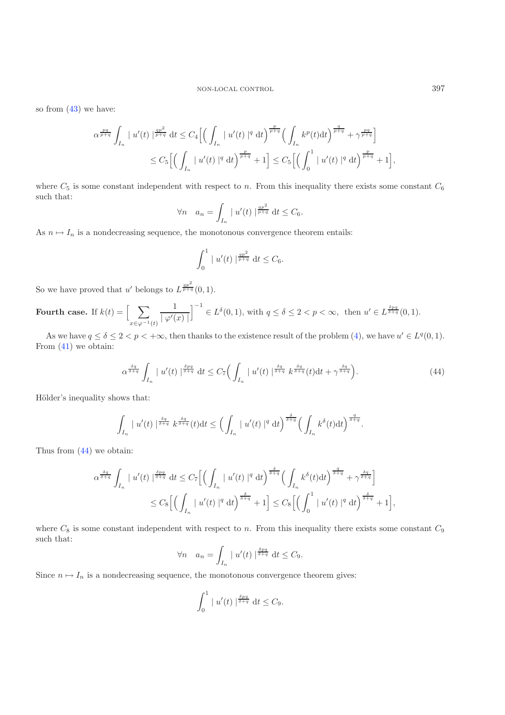<span id="page-16-0"></span>so from [\(43\)](#page-15-2) we have:

$$
\alpha^{\frac{pq}{p+q}} \int_{I_n} |u'(t)|^{\frac{qp^2}{p+q}} dt \le C_4 \Big[ \Big( \int_{I_n} |u'(t)|^q dt \Big)^{\frac{p}{p+q}} \Big( \int_{I_n} k^p(t) dt \Big)^{\frac{q}{p+q}} + \gamma^{\frac{pq}{p+q}} \Big] \le C_5 \Big[ \Big( \int_{I_n} |u'(t)|^q dt \Big)^{\frac{p}{p+q}} + 1 \Big] \le C_5 \Big[ \Big( \int_0^1 |u'(t)|^q dt \Big)^{\frac{p}{p+q}} + 1 \Big]
$$

where  $C_5$  is some constant independent with respect to n. From this inequality there exists some constant  $C_6$ such that:

$$
\forall n \quad a_n = \int_{I_n} |u'(t)|^{\frac{qp^2}{p+q}} dt \le C_6.
$$

As  $n \mapsto I_n$  is a nondecreasing sequence, the monotonous convergence theorem entails:

$$
\int_0^1 |u'(t)|^{\frac{qp^2}{p+q}} dt \le C_6.
$$

So we have proved that u' belongs to  $L^{\frac{qp^2}{p+q}}(0,1)$ .

**Fourth case.** If  $k(t) = \left[\sum_{x \in \varphi^{-1}(t)}\right]$ 1  $\mid \varphi'(x) \mid$  $\Big]^{-1} \in L^{\delta}(0,1)$ , with  $q \leq \delta \leq 2 < p < \infty$ , then  $u' \in L^{\frac{\delta pq}{\delta+q}}(0,1)$ .

As we have  $q \leq \delta \leq 2 < p < +\infty$ , then thanks to the existence result of the problem [\(4\)](#page-0-0), we have  $u' \in L^q(0,1)$ . From [\(41\)](#page-15-0) we obtain:

$$
\alpha^{\frac{\delta q}{\delta+q}} \int_{I_n} |u'(t)|^{\frac{\delta pq}{\delta+q}} dt \le C_7 \Big( \int_{I_n} |u'(t)|^{\frac{\delta q}{\delta+q}} k^{\frac{\delta q}{\delta+q}}(t) dt + \gamma^{\frac{\delta q}{\delta+q}} \Big). \tag{44}
$$

Hölder's inequality shows that:

$$
\int_{I_n} |u'(t)|^{\frac{\delta q}{\delta+q}} k^{\frac{\delta q}{\delta+q}}(t) dt \le \Big(\int_{I_n} |u'(t)|^q dt\Big)^{\frac{\delta}{\delta+q}} \Big(\int_{I_n} k^{\delta}(t) dt\Big)^{\frac{q}{\delta+q}}.
$$

<span id="page-16-1"></span>Thus from [\(44\)](#page-16-0) we obtain:

$$
\alpha^{\frac{\delta q}{\delta+q}} \int_{I_n} |u'(t)|^{\frac{\delta pq}{\delta+q}} dt \leq C_7 \Big[ \Big( \int_{I_n} |u'(t)|^q dt \Big)^{\frac{\delta}{\delta+q}} \Big( \int_{I_n} k^{\delta}(t) dt \Big)^{\frac{q}{\delta+q}} + \gamma^{\frac{\delta q}{\delta+q}} \Big]
$$
  

$$
\leq C_8 \Big[ \Big( \int_{I_n} |u'(t)|^q dt \Big)^{\frac{\delta}{\delta+q}} + 1 \Big] \leq C_8 \Big[ \Big( \int_0^1 |u'(t)|^q dt \Big)^{\frac{\delta}{\delta+q}} + 1 \Big],
$$

where  $C_8$  is some constant independent with respect to n. From this inequality there exists some constant  $C_9$ such that:

$$
\forall n \quad a_n = \int_{I_n} |u'(t)|^{\frac{\delta pq}{\delta+q}} dt \le C_9.
$$

Since  $n \mapsto I_n$  is a nondecreasing sequence, the monotonous convergence theorem gives:

$$
\int_0^1 |u'(t)|^{\frac{\delta pq}{\delta+q}} dt \leq C_9.
$$

,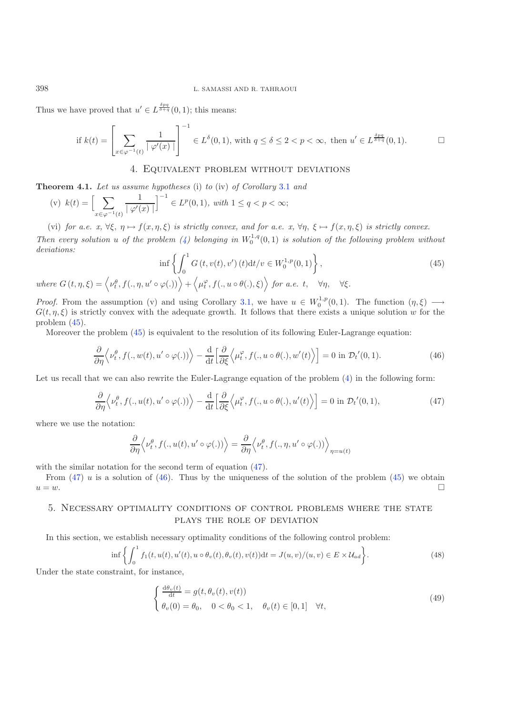### 398 L. SAMASSI AND R. TAHRAOUI

Thus we have proved that  $u' \in L^{\frac{\delta pq}{\delta+q}}(0,1)$ ; this means:

$$
\text{if } k(t) = \left[ \sum_{x \in \varphi^{-1}(t)} \frac{1}{|\varphi'(x)|} \right]^{-1} \in L^{\delta}(0, 1), \text{ with } q \le \delta \le 2 < p < \infty, \text{ then } u' \in L^{\frac{\delta pq}{\delta + q}}(0, 1). \qquad \Box
$$

### 4. Equivalent problem without deviations

**Theorem 4.1.** *Let us assume hypotheses* (i) *to* (iv) *of Corollary* [3.1](#page-13-0) *and*

(v) 
$$
k(t) = \left[\sum_{x \in \varphi^{-1}(t)} \frac{1}{|\varphi'(x)|}\right]^{-1} \in L^p(0,1), \text{ with } 1 \le q < p < \infty;
$$

(vi) *for a.e.*  $x, \forall \xi, \eta \mapsto f(x, \eta, \xi)$  *is strictly convex, and for a.e.*  $x, \forall \eta, \xi \mapsto f(x, \eta, \xi)$  *is strictly convex. Then every solution u of the problem* [\(4\)](#page-0-0) *belonging in*  $W_0^{1,q}(0,1)$  *is solution of the following problem without deviations*: *deviations:*

$$
\inf \left\{ \int_0^1 G(t, v(t), v')(t) dt / v \in W_0^{1, p}(0, 1) \right\},
$$
  
\nwhere  $G(t, \eta, \xi) = \left\langle \nu_t^{\theta}, f(., \eta, u' \circ \varphi(.)) \right\rangle + \left\langle \mu_t^{\varphi}, f(., u \circ \theta(.), \xi) \right\rangle$  for a.e.  $t, \forall \eta, \forall \xi$ . (45)

*Proof.* From the assumption (v) and using Corollary [3.1,](#page-13-0) we have  $u \in W_0^{1,p}(0,1)$ . The function  $(\eta,\xi) \longrightarrow$ <br>*C*(*t*  $n \notin \Sigma$ ) is strictly convex with the adequate growth. It follows that there exists a unique solution w for  $G(t, \eta, \xi)$  is strictly convex with the adequate growth. It follows that there exists a unique solution w for the problem [\(45\)](#page-16-1).

Moreover the problem  $(45)$  is equivalent to the resolution of its following Euler-Lagrange equation:

$$
\frac{\partial}{\partial \eta} \left\langle \nu_t^{\theta}, f(., w(t), u' \circ \varphi(.)) \right\rangle - \frac{\mathrm{d}}{\mathrm{d}t} \left[ \frac{\partial}{\partial \xi} \left\langle \mu_t^{\varphi}, f(., u \circ \theta(.), w'(t) \right\rangle \right] = 0 \text{ in } \mathcal{D}_t'(0, 1). \tag{46}
$$

<span id="page-17-1"></span><span id="page-17-0"></span>Let us recall that we can also rewrite the Euler-Lagrange equation of the problem [\(4\)](#page-0-0) in the following form:

$$
\frac{\partial}{\partial \eta} \left\langle \nu_t^{\theta}, f(., u(t), u' \circ \varphi(.)) \right\rangle - \frac{\mathrm{d}}{\mathrm{d}t} \left[ \frac{\partial}{\partial \xi} \left\langle \mu_t^{\varphi}, f(., u \circ \theta(.), u'(t) \right\rangle \right] = 0 \text{ in } \mathcal{D}_t'(0, 1),\tag{47}
$$

where we use the notation:

$$
\frac{\partial}{\partial \eta} \left\langle \nu_t^{\theta}, f(., u(t), u' \circ \varphi(.)) \right\rangle = \frac{\partial}{\partial \eta} \left\langle \nu_t^{\theta}, f(., \eta, u' \circ \varphi(.)) \right\rangle_{\eta = u(t)}
$$

with the similar notation for the second term of equation  $(47)$ .

From [\(47\)](#page-17-0) u is a solution of [\(46\)](#page-17-1). Thus by the uniqueness of the solution of the problem [\(45\)](#page-16-1) we obtain  $u = w$ .  $u = w.$ 

# 5. Necessary optimality conditions of control problems where the state plays the role of deviation

In this section, we establish necessary optimality conditions of the following control problem:

$$
\inf \left\{ \int_0^1 f_1(t, u(t), u'(t), u \circ \theta_v(t), \theta_v(t), v(t)) dt = J(u, v)/(u, v) \in E \times \mathcal{U}_{ad} \right\}.
$$
\n
$$
(48)
$$

Under the state constraint, for instance,

$$
\begin{cases} \frac{d\theta_v(t)}{dt} = g(t, \theta_v(t), v(t)) \\ \theta_v(0) = \theta_0, \quad 0 < \theta_0 < 1, \quad \theta_v(t) \in [0, 1] \quad \forall t, \end{cases} \tag{49}
$$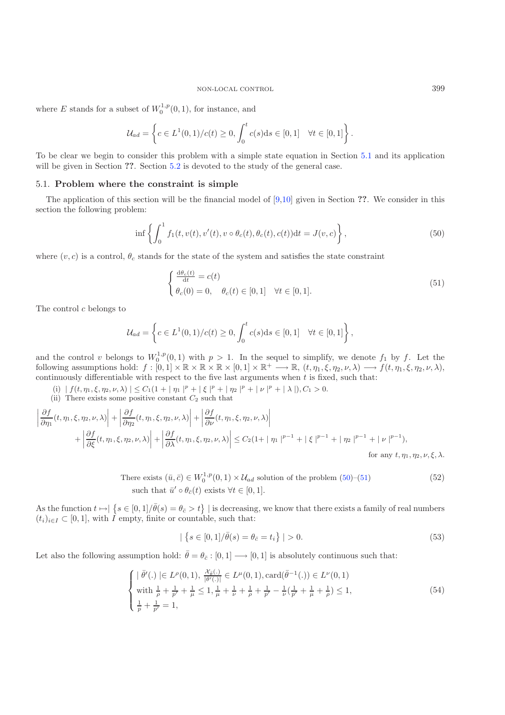<span id="page-18-1"></span>where E stands for a subset of  $W_0^{1,p}(0,1)$ , for instance, and

<span id="page-18-2"></span>
$$
\mathcal{U}_{ad} = \left\{ c \in L^1(0,1)/c(t) \ge 0, \int_0^t c(s) \, \mathrm{d}s \in [0,1] \quad \forall t \in [0,1] \right\}.
$$

To be clear we begin to consider this problem with a simple state equation in Section [5.1](#page-18-0) and its application will be given in Section ??. Section [5.2](#page-20-0) is devoted to the study of the general case.

#### <span id="page-18-0"></span>5.1. **Problem where the constraint is simple**

The application of this section will be the financial model of [\[9](#page-28-1)[,10](#page-28-10)] given in Section **??**. We consider in this section the following problem:

$$
\inf \left\{ \int_0^1 f_1(t, v(t), v'(t), v \circ \theta_c(t), \theta_c(t), c(t)) dt = J(v, c) \right\},\tag{50}
$$

where  $(v, c)$  is a control,  $\theta_c$  stands for the state of the system and satisfies the state constraint

$$
\begin{cases} \frac{d\theta_c(t)}{dt} = c(t) \\ \theta_c(0) = 0, \quad \theta_c(t) \in [0,1] \quad \forall t \in [0,1]. \end{cases}
$$
\n(51)

The control c belongs to

$$
\mathcal{U}_{ad} = \left\{ c \in L^1(0,1)/c(t) \ge 0, \int_0^t c(s) \, \mathrm{d} s \in [0,1] \quad \forall t \in [0,1] \right\},\,
$$

and the control v belongs to  $W_0^{1,p}(0,1)$  with  $p > 1$ . In the sequel to simplify, we denote  $f_1$  by  $f$ . Let the following assumptions hold:  $f:[0,1] \times \mathbb{R} \times \mathbb{R} \times [0,1] \times \mathbb{R}^+ \longrightarrow \mathbb{R}$   $(f, p, \xi, p_2, \mu) \longrightarrow f(f, p, \xi, p_2$ following assumptions hold:  $f : [0,1] \times \mathbb{R} \times \mathbb{R} \times \mathbb{R} \times [0,1] \times \mathbb{R}^+ \longrightarrow \mathbb{R}$ ,  $(t, \eta_1, \xi, \eta_2, \nu, \lambda) \longrightarrow f(t, \eta_1, \xi, \eta_2, \nu, \lambda)$ ,<br>continuously differentiable with respect to the five last arguments when t is fixed continuously differentiable with respect to the five last arguments when  $t$  is fixed, such that:

- (i)  $|f(t, \eta_1, \xi, \eta_2, \nu, \lambda)| \leq C_1(1 + |\eta_1|^p + |\xi|^p + |\eta_2|^p + |\nu|^p + |\lambda|), C_1 > 0.$ <br>
(ii) There exists some positive constant  $C_2$  such that
- (ii) There exists some positive constant  $C_2$  such that

$$
\left| \frac{\partial f}{\partial \eta_1}(t, \eta_1, \xi, \eta_2, \nu, \lambda) \right| + \left| \frac{\partial f}{\partial \eta_2}(t, \eta_1, \xi, \eta_2, \nu, \lambda) \right| + \left| \frac{\partial f}{\partial \nu}(t, \eta_1, \xi, \eta_2, \nu, \lambda) \right| + \left| \frac{\partial f}{\partial \xi}(t, \eta_1, \xi, \eta_2, \nu, \lambda) \right| + \left| \frac{\partial f}{\partial \lambda}(t, \eta_1, \xi, \eta_2, \nu, \lambda) \right| \leq C_2 (1 + |\eta_1|^{p-1} + |\xi|^{p-1} + |\eta_2|^{p-1} + |\nu|^{p-1}),
$$
for any  $t, \eta_1, \eta_2, \nu, \xi, \lambda$ .

There exists 
$$
(\bar{u}, \bar{c}) \in W_0^{1,p}(0, 1) \times \mathcal{U}_{ad}
$$
 solution of the problem (50)-(51)  
such that  $\bar{u}' \circ \theta_{\bar{c}}(t)$  exists  $\forall t \in [0, 1]$ .  
(52)

<span id="page-18-4"></span><span id="page-18-3"></span>As the function  $t \mapsto |\{s \in [0,1]/\bar{\theta}(s) = \theta_{\bar{c}} > t\}|$  is decreasing, we know that there exists a family of real numbers  $(t_1)_{t \in \mathcal{L}} \subset [0, 1]$  with Lempty finite or countable, such that:  $(t_i)_{i\in I} \subset [0,1]$ , with  $\tilde{I}$  empty, finite or countable, such that:

$$
|\{s \in [0,1]/\bar{\theta}(s) = \theta_{\bar{c}} = t_i\}| > 0.
$$
\n(53)

Let also the following assumption hold:  $\bar{\theta} = \theta_{\bar{c}} : [0, 1] \longrightarrow [0, 1]$  is absolutely continuous such that:

$$
\begin{cases} \left| \bar{\theta}^{\prime}(.) \right| \in L^{\rho}(0,1), \frac{\chi_{\bar{\theta}}(.)}{|\bar{\theta}^{\prime}(.)|} \in L^{\mu}(0,1), \operatorname{card}(\bar{\theta}^{-1}(.)) \in L^{\nu}(0,1) \\ \text{with } \frac{1}{\rho} + \frac{1}{p^{\prime}} + \frac{1}{\mu} \leq 1, \frac{1}{\mu} + \frac{1}{\nu} + \frac{1}{\rho} + \frac{1}{p^{\prime}} - \frac{1}{\nu}(\frac{1}{p^{\prime}} + \frac{1}{\mu} + \frac{1}{\rho}) \leq 1, \\ \frac{1}{p} + \frac{1}{p^{\prime}} = 1, \end{cases} \tag{54}
$$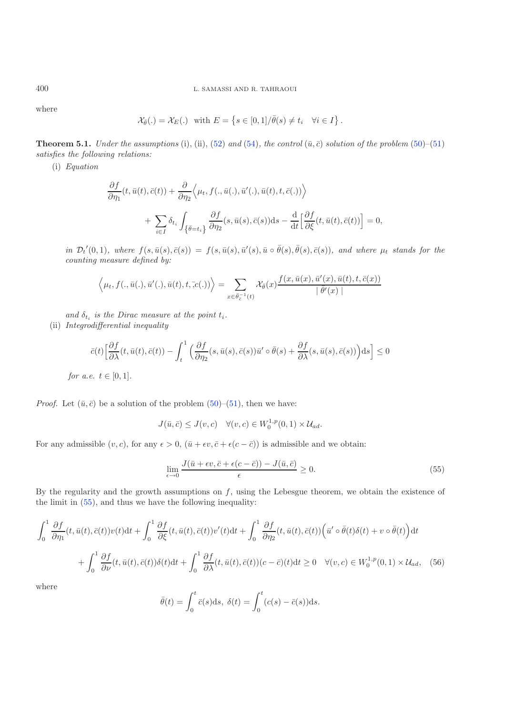where

$$
\mathcal{X}_{\bar{\theta}}(.) = \mathcal{X}_E(.) \text{ with } E = \left\{ s \in [0,1] / \bar{\theta}(s) \neq t_i \quad \forall i \in I \right\}.
$$

<span id="page-19-2"></span>**Theorem 5.1.** *Under the assumptions* (i), (ii), [\(52\)](#page-18-3) *and* [\(54\)](#page-18-4)*, the control*  $(\bar{u}, \bar{c})$  *solution of the problem* [\(50\)](#page-18-1)–[\(51\)](#page-18-2) *satisfies the following relations:*

<span id="page-19-0"></span>(i) *Equation*

$$
\frac{\partial f}{\partial \eta_1}(t, \bar{u}(t), \bar{c}(t)) + \frac{\partial}{\partial \eta_2} \Big\langle \mu_t, f(., \bar{u}(.), \bar{u}'(.), \bar{u}(t), t, \bar{c}(.) ) \Big\rangle \n+ \sum_{i \in I} \delta_{t_i} \int_{\{\bar{\theta} = t_i\}} \frac{\partial f}{\partial \eta_2}(s, \bar{u}(s), \bar{c}(s)) ds - \frac{d}{dt} \Big[ \frac{\partial f}{\partial \xi}(t, \bar{u}(t), \bar{c}(t)) \Big] = 0,
$$

 $\overline{\partial}_{tt} D_t'(0,1)$ , where  $f(s,\bar{u}(s),\bar{c}(s)) = f(s,\bar{u}(s),\bar{u}'(s),\bar{u} \circ \bar{\theta}(s),\bar{\theta}(s),\bar{c}(s))$ , and where  $\mu_t$  stands for the counting measure defined by: *counting measure defined by:*

$$
\langle \mu_t, f(.,\bar{u}(.),\bar{u}'(.),\bar{u}(t),t,\bar{c}(.) ) \rangle = \sum_{x \in \bar{\theta}_c^{-1}(t)} \mathcal{X}_{\bar{\theta}}(x) \frac{f(x,\bar{u}(x),\bar{u}'(x),\bar{u}(t),t,\bar{c}(x))}{|\bar{\theta}'(x)|}
$$

and  $\delta_{t_i}$  *is the Dirac measure at the point t<sub>i</sub>.* (ii) *Integrodifferential inequality*

$$
\bar{c}(t)\left[\frac{\partial f}{\partial \lambda}(t,\bar{u}(t),\bar{c}(t)) - \int_t^1 \left(\frac{\partial f}{\partial \eta_2}(s,\bar{u}(s),\bar{c}(s))\bar{u}' \circ \bar{\theta}(s) + \frac{\partial f}{\partial \lambda}(s,\bar{u}(s),\bar{c}(s))\right)ds\right] \le 0
$$

*for a.e.*  $t \in [0, 1]$ *.* 

*Proof.* Let  $(\bar{u}, \bar{c})$  be a solution of the problem  $(50)$ – $(51)$ , then we have:

$$
J(\bar{u}, \bar{c}) \leq J(v, c) \quad \forall (v, c) \in W_0^{1, p}(0, 1) \times \mathcal{U}_{ad}.
$$

For any admissible  $(v, c)$ , for any  $\epsilon > 0$ ,  $(\bar{u} + \epsilon v, \bar{c} + \epsilon(c - \bar{c}))$  is admissible and we obtain:

<span id="page-19-1"></span>
$$
\lim_{\epsilon \to 0} \frac{J(\bar{u} + \epsilon v, \bar{c} + \epsilon (c - \bar{c})) - J(\bar{u}, \bar{c})}{\epsilon} \ge 0.
$$
\n(55)

By the regularity and the growth assumptions on  $f$ , using the Lebesgue theorem, we obtain the existence of the limit in [\(55\)](#page-19-0), and thus we have the following inequality:

$$
\int_{0}^{1} \frac{\partial f}{\partial \eta_{1}}(t, \bar{u}(t), \bar{c}(t))v(t)dt + \int_{0}^{1} \frac{\partial f}{\partial \xi}(t, \bar{u}(t), \bar{c}(t))v'(t)dt + \int_{0}^{1} \frac{\partial f}{\partial \eta_{2}}(t, \bar{u}(t), \bar{c}(t))\left(\bar{u}' \circ \bar{\theta}(t)\delta(t) + v \circ \bar{\theta}(t)\right)dt
$$

$$
+ \int_{0}^{1} \frac{\partial f}{\partial \nu}(t, \bar{u}(t), \bar{c}(t))\delta(t)dt + \int_{0}^{1} \frac{\partial f}{\partial \lambda}(t, \bar{u}(t), \bar{c}(t))(c - \bar{c})(t)dt \ge 0 \quad \forall (v, c) \in W_{0}^{1, p}(0, 1) \times U_{ad}, \quad (56)
$$

where

$$
\bar{\theta}(t) = \int_0^t \bar{c}(s)ds, \ \delta(t) = \int_0^t (c(s) - \bar{c}(s))ds.
$$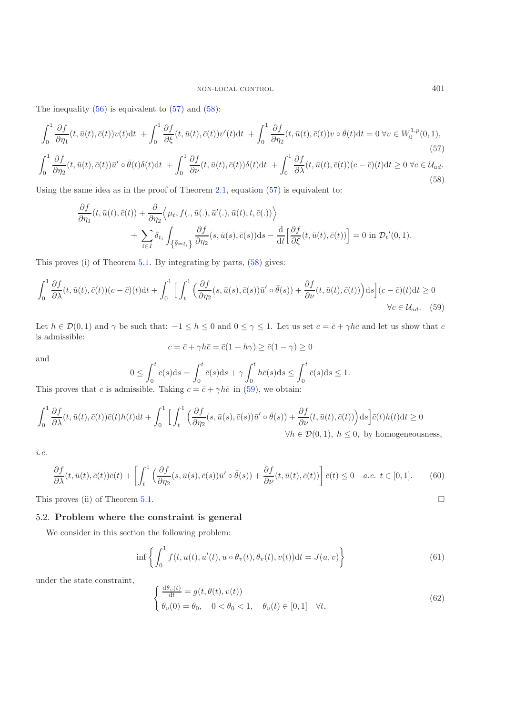<span id="page-20-2"></span><span id="page-20-1"></span>The inequality  $(56)$  is equivalent to  $(57)$  and  $(58)$ :

$$
\int_0^1 \frac{\partial f}{\partial \eta_1}(t, \bar{u}(t), \bar{c}(t))v(t)dt + \int_0^1 \frac{\partial f}{\partial \xi}(t, \bar{u}(t), \bar{c}(t))v'(t)dt + \int_0^1 \frac{\partial f}{\partial \eta_2}(t, \bar{u}(t), \bar{c}(t))v \circ \bar{\theta}(t)dt = 0 \,\forall v \in W_0^{1, p}(0, 1),\tag{57}
$$

$$
\int_0^1 \frac{\partial f}{\partial \eta_2}(t, \bar{u}(t), \bar{c}(t))\bar{u}' \circ \bar{\theta}(t)\delta(t)dt + \int_0^1 \frac{\partial f}{\partial \nu}(t, \bar{u}(t), \bar{c}(t))\delta(t)dt + \int_0^1 \frac{\partial f}{\partial \lambda}(t, \bar{u}(t), \bar{c}(t))(c - \bar{c})(t)dt \ge 0 \,\forall c \in \mathcal{U}_{ad}.\tag{58}
$$

<span id="page-20-3"></span>Using the same idea as in the proof of Theorem [2.1,](#page-9-4) equation [\(57\)](#page-20-1) is equivalent to:

$$
\frac{\partial f}{\partial \eta_1}(t, \bar{u}(t), \bar{c}(t)) + \frac{\partial}{\partial \eta_2} \Big\langle \mu_t, f(., \bar{u}(.), \bar{u}'(.), \bar{u}(t), t, \bar{c}(.) ) \Big\rangle \n+ \sum_{i \in I} \delta_{t_i} \int_{\{\bar{\theta} = t_i\}} \frac{\partial f}{\partial \eta_2}(s, \bar{u}(s), \bar{c}(s)) ds - \frac{d}{dt} \Big[ \frac{\partial f}{\partial \xi}(t, \bar{u}(t), \bar{c}(t)) \Big] = 0 \text{ in } \mathcal{D}_t'(0, 1).
$$

This proves (i) of Theorem [5.1.](#page-19-2) By integrating by parts, [\(58\)](#page-20-2) gives:

$$
\int_0^1 \frac{\partial f}{\partial \lambda}(t, \bar{u}(t), \bar{c}(t))(c - \bar{c})(t)dt + \int_0^1 \left[ \int_t^1 \left( \frac{\partial f}{\partial \eta_2}(s, \bar{u}(s), \bar{c}(s))\bar{u}' \circ \bar{\theta}(s) \right) + \frac{\partial f}{\partial \nu}(t, \bar{u}(t), \bar{c}(t)) \right] ds \right] (c - \bar{c})(t)dt \ge 0
$$
  

$$
\forall c \in \mathcal{U}_{ad}.
$$
 (59)

Let  $h \in \mathcal{D}(0,1)$  and  $\gamma$  be such that:  $-1 \leq h \leq 0$  and  $0 \leq \gamma \leq 1$ . Let us set  $c = \bar{c} + \gamma h\bar{c}$  and let us show that  $c$ is admissible:

$$
c = \bar{c} + \gamma h \bar{c} = \bar{c}(1 + h\gamma) \ge \bar{c}(1 - \gamma) \ge 0
$$

and

$$
0 \le \int_0^t c(s)ds = \int_0^t \bar{c}(s)ds + \gamma \int_0^t h\bar{c}(s)ds \le \int_0^t \bar{c}(s)ds \le 1.
$$
  
possible Taking  $c = \bar{c} + \gamma b\bar{c}$  in (59) we obtain:

This proves that c is admissible. Taking  $c = \bar{c} + \gamma h \bar{c}$  in [\(59\)](#page-20-3), we obtain:

$$
\int_0^1 \frac{\partial f}{\partial \lambda}(t, \bar{u}(t), \bar{c}(t))\bar{c}(t)h(t)dt + \int_0^1 \Big[ \int_t^1 \Big( \frac{\partial f}{\partial \eta_2}(s, \bar{u}(s), \bar{c}(s))\bar{u}' \circ \bar{\theta}(s)) + \frac{\partial f}{\partial \nu}(t, \bar{u}(t), \bar{c}(t)) \Big) ds \Big] \bar{c}(t)h(t)dt \ge 0
$$
  
\n
$$
\forall h \in \mathcal{D}(0, 1), h \le 0, \text{ by homogeneousness,}
$$

*i.e.*

<span id="page-20-5"></span><span id="page-20-4"></span>
$$
\frac{\partial f}{\partial \lambda}(t, \bar{u}(t), \bar{c}(t))\bar{c}(t) + \left[\int_t^1 \left(\frac{\partial f}{\partial \eta_2}(s, \bar{u}(s), \bar{c}(s))\bar{u}' \circ \bar{\theta}(s)\right) + \frac{\partial f}{\partial \nu}(t, \bar{u}(t), \bar{c}(t))\right] \bar{c}(t) \le 0 \quad a.e. \ t \in [0, 1]. \tag{60}
$$

This proves (ii) of Theorem [5.1.](#page-19-2)

# <span id="page-20-0"></span>5.2. **Problem where the constraint is general**

We consider in this section the following problem:

$$
\inf \left\{ \int_0^1 f(t, u(t), u'(t), u \circ \theta_v(t), \theta_v(t), v(t)) dt = J(u, v) \right\}
$$
\n(61)

under the state constraint,

$$
\begin{cases} \frac{d\theta_v(t)}{dt} = g(t, \theta(t), v(t)) \\ \theta_v(0) = \theta_0, \quad 0 < \theta_0 < 1, \quad \theta_v(t) \in [0, 1] \quad \forall t, \end{cases} \tag{62}
$$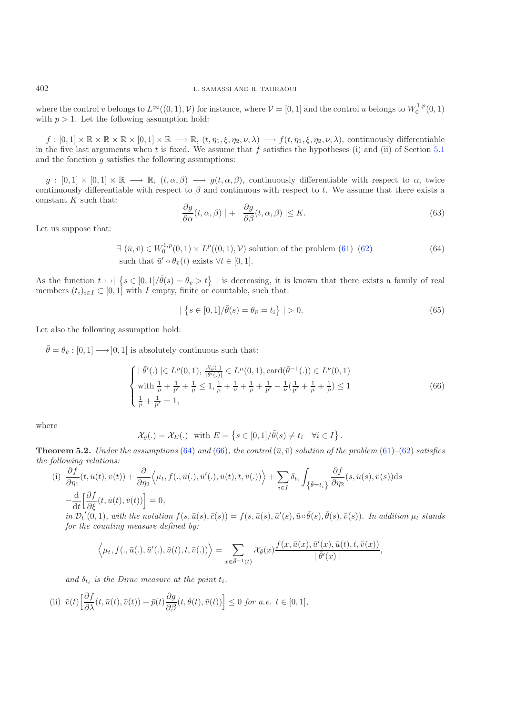where the control v belongs to  $L^{\infty}((0,1), V)$  for instance, where  $V = [0, 1]$  and the control u belongs to  $W_0^{1,p}(0, 1)$ <br>with  $p > 1$ . Let the following assumption hold: with  $p > 1$ . Let the following assumption hold:

 $f : [0,1] \times \mathbb{R} \times \mathbb{R} \times \mathbb{R} \times [0,1] \times \mathbb{R} \longrightarrow \mathbb{R}, (t, \eta_1, \xi, \eta_2, \nu, \lambda) \longrightarrow f(t, \eta_1, \xi, \eta_2, \nu, \lambda)$ , continuously differentiable in the five last arguments when t is fixed. We assume that  $f$  satisfies the hypotheses (i) and (ii) of Section [5.1](#page-18-0) and the fonction  $q$  satisfies the following assumptions:

 $g : [0,1] \times [0,1] \times \mathbb{R} \longrightarrow \mathbb{R}, (t, \alpha, \beta) \longrightarrow g(t, \alpha, \beta)$ , continuously differentiable with respect to  $\alpha$ , twice continuously differentiable with respect to  $\beta$  and continuous with respect to t. We assume that there exists a constant  $K$  such that:

$$
|\frac{\partial g}{\partial \alpha}(t, \alpha, \beta)| + |\frac{\partial g}{\partial \beta}(t, \alpha, \beta)| \le K.
$$
\n(63)

<span id="page-21-0"></span>Let us suppose that:

$$
\exists (\bar{u}, \bar{v}) \in W_0^{1, p}(0, 1) \times L^p((0, 1), V) \text{ solution of the problem (61)-(62)}
$$
  
such that  $\bar{u}' \circ \theta_{\bar{v}}(t)$  exists  $\forall t \in [0, 1]$ . (64)

<span id="page-21-1"></span>As the function  $t \mapsto \begin{cases} s \in [0,1] / \bar{\theta}(s) = \theta_{\bar{v}} > t \end{cases}$  is decreasing, it is known that there exists a family of real members  $(t_0)$ ,  $t \in [0, 1]$  with Lempty finite or countable such that members  $(t_i)_{i\in I} \subset [0,1]$  with I empty, finite or countable, such that:

$$
|\{s \in [0,1]/\bar{\theta}(s) = \theta_{\bar{v}} = t_i\}| > 0.
$$
\n(65)

Let also the following assumption hold:

 $\bar{\theta} = \theta_{\bar{v}} : [0, 1] \longrightarrow ]0, 1[$  is absolutely continuous such that:

$$
\begin{cases} \left| \bar{\theta}^{\prime}(.) \right| \in L^{\rho}(0,1), \frac{\mathcal{X}_{\bar{\theta}}(.)}{|\bar{\theta}^{\prime}(.)|} \in L^{\mu}(0,1), \text{card}(\bar{\theta}^{-1}(.)) \in L^{\nu}(0,1) \\ \text{with } \frac{1}{\rho} + \frac{1}{p^{\prime}} + \frac{1}{\mu} \leq 1, \frac{1}{\mu} + \frac{1}{\nu} + \frac{1}{\rho} + \frac{1}{p^{\prime}} - \frac{1}{\nu}(\frac{1}{p^{\prime}} + \frac{1}{\mu} + \frac{1}{\rho}) \leq 1 \\ \frac{1}{p} + \frac{1}{p^{\prime}} = 1, \end{cases} \tag{66}
$$

where

$$
\mathcal{X}_{\overline{\theta}}(.) = \mathcal{X}_E(.) \text{ with } E = \left\{ s \in [0,1] / \overline{\theta}(s) \neq t_i \quad \forall i \in I \right\}.
$$

**Theorem 5.2.** *Under the assumptions* [\(64\)](#page-21-0) *and* [\(66\)](#page-21-1)*, the control*  $(\bar{u}, \bar{v})$  *solution of the problem* [\(61\)](#page-20-4)–[\(62\)](#page-20-5) *satisfies* the following relations: *the following relations:*

(i) 
$$
\frac{\partial f}{\partial \eta_1}(t, \bar{u}(t), \bar{v}(t)) + \frac{\partial}{\partial \eta_2} \Big\langle \mu_t, f(., \bar{u}(.), \bar{u}'(.), \bar{u}(t), t, \bar{v}(.))) \Big\rangle + \sum_{i \in I} \delta_{t_i} \int_{\{\bar{\theta} = t_i\}} \frac{\partial f}{\partial \eta_2}(s, \bar{u}(s), \bar{v}(s)) ds
$$
  
\n
$$
-\frac{d}{dt} \Big[ \frac{\partial f}{\partial \xi}(t, \bar{u}(t), \bar{v}(t)) \Big] = 0,
$$
  
\n*in*  $\mathcal{D}_t'(0, 1)$ , *with the notation*  $f(s, \bar{u}(s), \bar{c}(s)) = f(s, \bar{u}(s), \bar{u}'(s), \bar{u} \circ \bar{\theta}(s), \bar{\theta}(s), \bar{v}(s))$ . In addition  $\mu_t$  stands for the counting measure defined by:

*for the counting measure defined by:*

$$
\langle \mu_t, f(.,\bar{u}(.),\bar{u}'(.),\bar{u}'(t),t,\bar{v}(.) ) \rangle = \sum_{x \in \bar{\theta}^{-1}(t)} \mathcal{X}_{\bar{\theta}}(x) \frac{f(x,\bar{u}(x),\bar{u}'(x),\bar{u}(t),t,\bar{v}(x))}{|\bar{\theta}'(x)|},
$$

*and*  $\delta_t$  *is the Dirac measure at the point t<sub>i</sub>.* 

(ii) 
$$
\bar{v}(t) \left[ \frac{\partial f}{\partial \lambda}(t, \bar{u}(t), \bar{v}(t)) + \bar{p}(t) \frac{\partial g}{\partial \beta}(t, \bar{\theta}(t), \bar{v}(t)) \right] \le 0
$$
 for a.e.  $t \in [0, 1]$ ,

<span id="page-21-2"></span>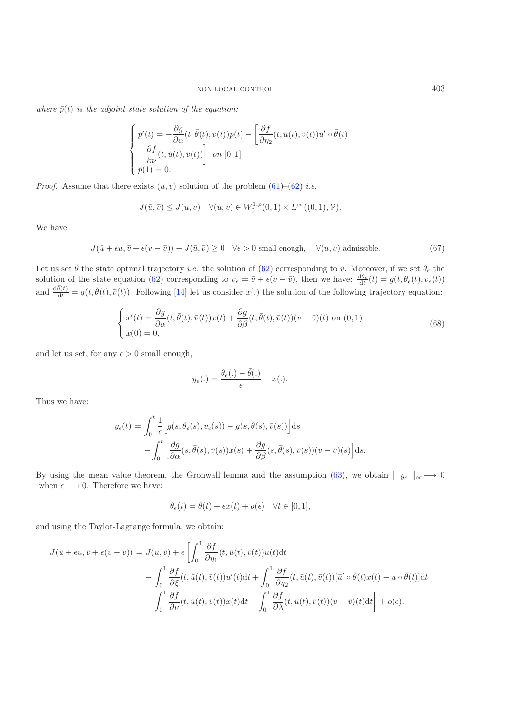*where*  $\bar{p}(t)$  *is the adjoint state solution of the equation:* 

$$
\begin{cases}\n\bar{p}'(t) = -\frac{\partial g}{\partial \alpha}(t, \bar{\theta}(t), \bar{v}(t))\bar{p}(t) - \left[\frac{\partial f}{\partial \eta_2}(t, \bar{u}(t), \bar{v}(t))\bar{u}' \circ \bar{\theta}(t)\right. \\
\left. + \frac{\partial f}{\partial \nu}(t, \bar{u}(t), \bar{v}(t))\right] \quad \text{on } [0, 1] \\
\bar{p}(1) = 0.\n\end{cases}
$$

<span id="page-22-2"></span>*Proof.* Assume that there exists  $(\bar{u}, \bar{v})$  solution of the problem [\(61\)](#page-20-4)–[\(62\)](#page-20-5) *i.e.* 

$$
J(\bar{u}, \bar{v}) \le J(u, v) \quad \forall (u, v) \in W_0^{1, p}(0, 1) \times L^{\infty}((0, 1), V).
$$

<span id="page-22-0"></span>We have

$$
J(\bar{u} + \epsilon u, \bar{v} + \epsilon (v - \bar{v})) - J(\bar{u}, \bar{v}) \ge 0 \quad \forall \epsilon > 0 \text{ small enough}, \quad \forall (u, v) \text{ admissible.}
$$
 (67)

Let us set  $\bar{\theta}$  the state optimal trajectory *i.e.* the solution of [\(62\)](#page-20-5) corresponding to  $\bar{v}$ . Moreover, if we set  $\theta_{\epsilon}$  the solution of the state countion (62) corresponding to  $v = \bar{v} + \epsilon(v - \bar{v})$  then we have solution of the state equation [\(62\)](#page-20-5) corresponding to  $v_{\epsilon} = \bar{v} + \epsilon(v - \bar{v})$ , then we have:  $\frac{d\theta_{\epsilon}}{dt}(t) = g(t, \theta_{\epsilon}(t), v_{\epsilon}(t))$ <br>and  $\frac{d\bar{\theta}(t)}{dt} = g(t, \bar{\theta}(t), \bar{v}(t))$ . Following [\[14\]](#page-28-15) let us consider  $x(.)$  the solution of

$$
\begin{cases}\nx'(t) = \frac{\partial g}{\partial \alpha}(t, \bar{\theta}(t), \bar{v}(t))x(t) + \frac{\partial g}{\partial \beta}(t, \bar{\theta}(t), \bar{v}(t))(v - \bar{v})(t) \text{ on } (0, 1) \\
x(0) = 0,\n\end{cases}
$$
\n(68)

and let us set, for any  $\epsilon > 0$  small enough,

$$
y_{\epsilon}(.)=\frac{\theta_{\epsilon}(.)-\bar{\theta}(.)}{\epsilon}-x(.)
$$

<span id="page-22-1"></span>Thus we have:

$$
y_{\epsilon}(t) = \int_0^t \frac{1}{\epsilon} \Big[ g(s, \theta_{\epsilon}(s), v_{\epsilon}(s)) - g(s, \bar{\theta}(s), \bar{v}(s)) \Big] ds - \int_0^t \Big[ \frac{\partial g}{\partial \alpha}(s, \bar{\theta}(s), \bar{v}(s)) x(s) + \frac{\partial g}{\partial \beta}(s, \bar{\theta}(s), \bar{v}(s)) (v - \bar{v})(s) \Big] ds.
$$

By using the mean value theorem, the Gronwall lemma and the assumption [\(63\)](#page-21-2), we obtain  $|| y_{\epsilon} ||_{\infty} \longrightarrow 0$ when  $\epsilon \longrightarrow 0$ . Therefore we have:

$$
\theta_{\epsilon}(t) = \bar{\theta}(t) + \epsilon x(t) + o(\epsilon) \quad \forall t \in [0, 1],
$$

and using the Taylor-Lagrange formula, we obtain:

$$
J(\bar{u} + \epsilon u, \bar{v} + \epsilon (v - \bar{v})) = J(\bar{u}, \bar{v}) + \epsilon \left[ \int_0^1 \frac{\partial f}{\partial \eta_1} (t, \bar{u}(t), \bar{v}(t)) u(t) dt + \int_0^1 \frac{\partial f}{\partial \eta_2} (t, \bar{u}(t), \bar{v}(t)) \left[ \bar{u}' \circ \bar{\theta}(t) x(t) + u \circ \bar{\theta}(t) \right] dt \right]
$$

$$
+ \int_0^1 \frac{\partial f}{\partial \nu} (t, \bar{u}(t), \bar{v}(t)) x(t) dt + \int_0^1 \frac{\partial f}{\partial \lambda} (t, \bar{u}(t), \bar{v}(t)) (v - \bar{v}) (t) dt \right] + o(\epsilon).
$$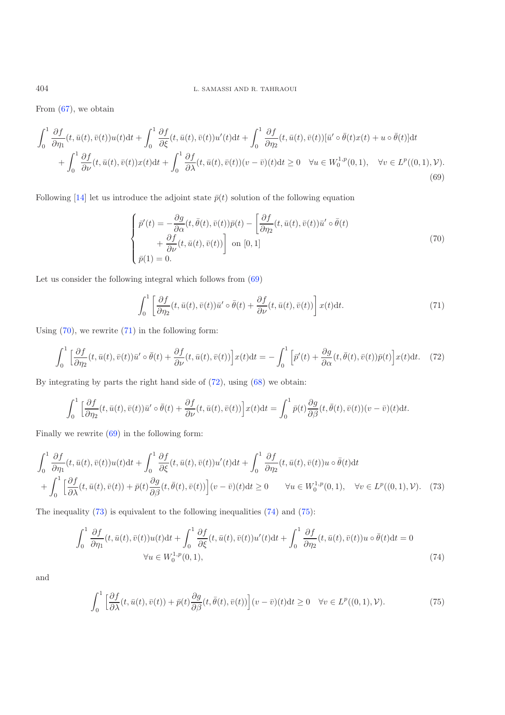<span id="page-23-0"></span>From  $(67)$ , we obtain

$$
\int_{0}^{1} \frac{\partial f}{\partial \eta_{1}}(t, \bar{u}(t), \bar{v}(t))u(t)dt + \int_{0}^{1} \frac{\partial f}{\partial \xi}(t, \bar{u}(t), \bar{v}(t))u'(t)dt + \int_{0}^{1} \frac{\partial f}{\partial \eta_{2}}(t, \bar{u}(t), \bar{v}(t))[\bar{u}' \circ \bar{\theta}(t)x(t) + u \circ \bar{\theta}(t)]dt + \int_{0}^{1} \frac{\partial f}{\partial \nu}(t, \bar{u}(t), \bar{v}(t))x(t)dt + \int_{0}^{1} \frac{\partial f}{\partial \lambda}(t, \bar{u}(t), \bar{v}(t))(v - \bar{v})(t)dt \ge 0 \quad \forall u \in W_{0}^{1, p}(0, 1), \quad \forall v \in L^{p}((0, 1), V).
$$
\n(69)

<span id="page-23-1"></span>Following [\[14\]](#page-28-15) let us introduce the adjoint state  $\bar{p}(t)$  solution of the following equation

$$
\begin{cases}\n\bar{p}'(t) = -\frac{\partial g}{\partial \alpha}(t, \bar{\theta}(t), \bar{v}(t))\bar{p}(t) - \left[\frac{\partial f}{\partial \eta_2}(t, \bar{u}(t), \bar{v}(t))\bar{u}' \circ \bar{\theta}(t)\n+ \frac{\partial f}{\partial \nu}(t, \bar{u}(t), \bar{v}(t))\right] \text{ on } [0, 1] \\
\bar{p}(1) = 0.\n\end{cases} \tag{70}
$$

Let us consider the following integral which follows from [\(69\)](#page-22-1)

$$
\int_0^1 \left[ \frac{\partial f}{\partial \eta_2}(t, \bar{u}(t), \bar{v}(t)) \bar{u}' \circ \bar{\theta}(t) + \frac{\partial f}{\partial \nu}(t, \bar{u}(t), \bar{v}(t)) \right] x(t) dt.
$$
 (71)

Using  $(70)$ , we rewrite  $(71)$  in the following form:

$$
\int_0^1 \left[ \frac{\partial f}{\partial \eta_2} (t, \bar{u}(t), \bar{v}(t)) \bar{u}' \circ \bar{\theta}(t) + \frac{\partial f}{\partial \nu} (t, \bar{u}(t), \bar{v}(t)) \right] x(t) dt = -\int_0^1 \left[ \bar{p}'(t) + \frac{\partial g}{\partial \alpha} (t, \bar{\theta}(t), \bar{v}(t)) \bar{p}(t) \right] x(t) dt. \tag{72}
$$

<span id="page-23-2"></span>By integrating by parts the right hand side of [\(72\)](#page-23-2), using [\(68\)](#page-22-2) we obtain:

$$
\int_0^1 \left[ \frac{\partial f}{\partial \eta_2}(t, \bar{u}(t), \bar{v}(t)) \bar{u}' \circ \bar{\theta}(t) + \frac{\partial f}{\partial \nu}(t, \bar{u}(t), \bar{v}(t)) \right] x(t) dt = \int_0^1 \bar{p}(t) \frac{\partial g}{\partial \beta}(t, \bar{\theta}(t), \bar{v}(t)) (v - \bar{v})(t) dt.
$$

<span id="page-23-3"></span>Finally we rewrite  $(69)$  in the following form:

$$
\int_{0}^{1} \frac{\partial f}{\partial \eta_{1}}(t, \bar{u}(t), \bar{v}(t))u(t)dt + \int_{0}^{1} \frac{\partial f}{\partial \xi}(t, \bar{u}(t), \bar{v}(t))u'(t)dt + \int_{0}^{1} \frac{\partial f}{\partial \eta_{2}}(t, \bar{u}(t), \bar{v}(t))u \circ \bar{\theta}(t)dt + \int_{0}^{1} \left[\frac{\partial f}{\partial \lambda}(t, \bar{u}(t), \bar{v}(t)) + \bar{p}(t)\frac{\partial g}{\partial \beta}(t, \bar{\theta}(t), \bar{v}(t))\right](v - \bar{v})(t)dt \ge 0 \quad \forall u \in W_{0}^{1, p}(0, 1), \quad \forall v \in L^{p}((0, 1), V). \tag{73}
$$

<span id="page-23-4"></span>The inequality  $(73)$  is equivalent to the following inequalities  $(74)$  and  $(75)$ :

$$
\int_0^1 \frac{\partial f}{\partial \eta_1}(t, \bar{u}(t), \bar{v}(t))u(t)dt + \int_0^1 \frac{\partial f}{\partial \xi}(t, \bar{u}(t), \bar{v}(t))u'(t)dt + \int_0^1 \frac{\partial f}{\partial \eta_2}(t, \bar{u}(t), \bar{v}(t))u \circ \bar{\theta}(t)dt = 0
$$
  

$$
\forall u \in W_0^{1, p}(0, 1),
$$
 (74)

<span id="page-23-5"></span>and

$$
\int_0^1 \left[ \frac{\partial f}{\partial \lambda}(t, \bar{u}(t), \bar{v}(t)) + \bar{p}(t) \frac{\partial g}{\partial \beta}(t, \bar{\theta}(t), \bar{v}(t)) \right] (v - \bar{v})(t) dt \ge 0 \quad \forall v \in L^p((0, 1), V).
$$
 (75)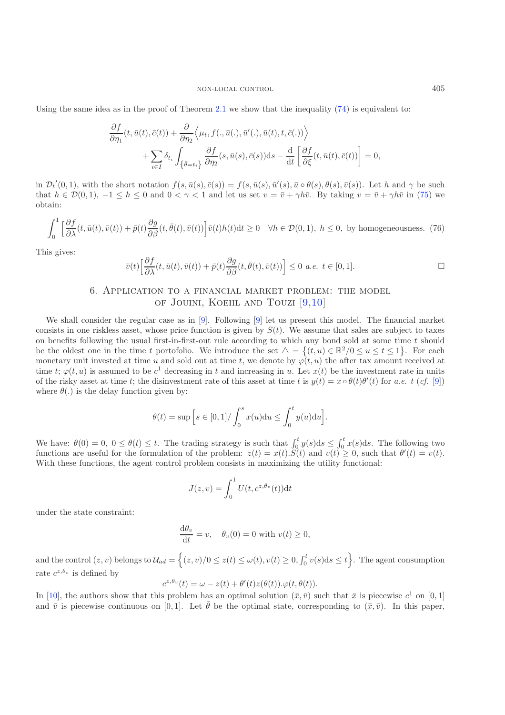Using the same idea as in the proof of Theorem [2.1](#page-9-4) we show that the inequality  $(74)$  is equivalent to:

$$
\frac{\partial f}{\partial \eta_1}(t, \bar{u}(t), \bar{c}(t)) + \frac{\partial}{\partial \eta_2} \left\langle \mu_t, f(., \bar{u}(.), \bar{u}'(.), \bar{u}(t), t, \bar{c}(.) ) \right\rangle \n+ \sum_{i \in I} \delta_{t_i} \int_{\{\bar{\theta} = t_i\}} \frac{\partial f}{\partial \eta_2}(s, \bar{u}(s), \bar{c}(s)) ds - \frac{d}{dt} \left[ \frac{\partial f}{\partial \xi}(t, \bar{u}(t), \bar{c}(t)) \right] = 0,
$$

in  $\mathcal{D}_t'(0,1)$ , with the short notation  $f(s,\bar{u}(s),\bar{c}(s)) = f(s,\bar{u}(s),\bar{u}'(s),\bar{u} \circ \theta(s),\theta(s),\bar{v}(s))$ . Let h and  $\gamma$  be such that  $b \in \mathcal{D}(0,1)$ ,  $-1 \leq b \leq 0$  and  $0 \leq \gamma \leq 1$  and let us set  $v = \bar{v} + \gamma b\bar{v}$ . By tak that  $h \in \mathcal{D}(0, 1), -1 \leq h \leq 0$  and  $0 < \gamma < 1$  and let us set  $v = \bar{v} + \gamma h \bar{v}$ . By taking  $v = \bar{v} + \gamma h \bar{v}$  in [\(75\)](#page-23-5) we obtain:

$$
\int_0^1 \left[ \frac{\partial f}{\partial \lambda}(t, \bar{u}(t), \bar{v}(t)) + \bar{p}(t) \frac{\partial g}{\partial \beta}(t, \bar{\theta}(t), \bar{v}(t)) \right] \bar{v}(t) h(t) dt \ge 0 \quad \forall h \in \mathcal{D}(0, 1), \ h \le 0, \text{ by homogeneousness. (76)}
$$

This gives:

$$
\bar{v}(t)\left[\frac{\partial f}{\partial \lambda}(t,\bar{u}(t),\bar{v}(t)) + \bar{p}(t)\frac{\partial g}{\partial \beta}(t,\bar{\theta}(t),\bar{v}(t))\right] \le 0 \text{ a.e. } t \in [0,1].
$$

# 6. Application to a financial market problem: the model of Jouini, Koehl and Touzi [\[9](#page-28-1)[,10](#page-28-10)]

We shall consider the regular case as in [\[9\]](#page-28-1). Following [\[9](#page-28-1)] let us present this model. The financial market consists in one riskless asset, whose price function is given by  $S(t)$ . We assume that sales are subject to taxes on benefits following the usual first-in-first-out rule according to which any bond sold at some time t should be the oldest one in the time t portofolio. We introduce the set  $\Delta = \{(t, u) \in \mathbb{R}^2 / 0 \le u \le t \le 1\}$ . For each monetary unit invested at time u and sold out at time t we denote by  $\varphi(t, u)$  the after tax amount received monetary unit invested at time u and sold out at time t, we denote by  $\varphi(t, u)$  the after tax amount received at time t;  $\varphi(t, u)$  is assumed to be  $c^1$  decreasing in t and increasing in u. Let  $x(t)$  be the investment rate in units of the risky asset at time t; the disinvestment rate of this asset at time t is  $y(t) = x \circ \theta(t) \theta'(t)$  for *a.e.* t (*cf.* [\[9](#page-28-1)]) where  $\theta()$  is the delay function given by: where  $\theta(.)$  is the delay function given by:

$$
\theta(t) = \sup \Big[ s \in [0,1] / \int_0^s x(u) \mathrm{d}u \le \int_0^t y(u) \mathrm{d}u \Big].
$$

We have:  $\theta(0) = 0$ ,  $0 \le \theta(t) \le t$ . The trading strategy is such that  $\int_0^t y(s) ds \le \int_0^t x(s) ds$ . The following two functions are useful for the formulation of the problem:  $z(t) = x(t) S(t)$  and  $y(t) > 0$ , such that  $\theta'(t) = y(t)$ . functions are useful for the formulation of the problem:  $z(t) = x(t) \cdot \tilde{S}(t)$  and  $v(t) \ge 0$ , such that  $\theta'(t) = v(t)$ .<br>With these functions the agent control problem consists in maximizing the utility functional: With these functions, the agent control problem consists in maximizing the utility functional:

$$
J(z,v) = \int_0^1 U(t, c^{z,\theta_v}(t)) dt
$$

under the state constraint:

$$
\frac{d\theta_v}{dt} = v, \quad \theta_v(0) = 0 \text{ with } v(t) \ge 0,
$$

and the control  $(z, v)$  belongs to  $\mathcal{U}_{ad} = \left\{ (z, v) / 0 \le z(t) \le \omega(t), v(t) \ge 0, \int_0^t v(s) ds \le t \right\}$ . The agent consumption rate  $c^{z,\theta_v}$  is defined by

<span id="page-24-0"></span>
$$
c^{z,\theta_v}(t) = \omega - z(t) + \theta'(t)z(\theta(t)).\varphi(t,\theta(t)).
$$

In [\[10\]](#page-28-10), the authors show that this problem has an optimal solution  $(\bar{x}, \bar{v})$  such that  $\bar{x}$  is piecewise  $c^1$  on [0, 1]<br>and  $\bar{v}$  is piecewise continuous on [0, 1]. Let  $\bar{\theta}$  be the optimal state, corresponding and  $\bar{v}$  is piecewise continuous on [0, 1]. Let  $\bar{\theta}$  be the optimal state, corresponding to  $(\bar{x}, \bar{v})$ . In this paper,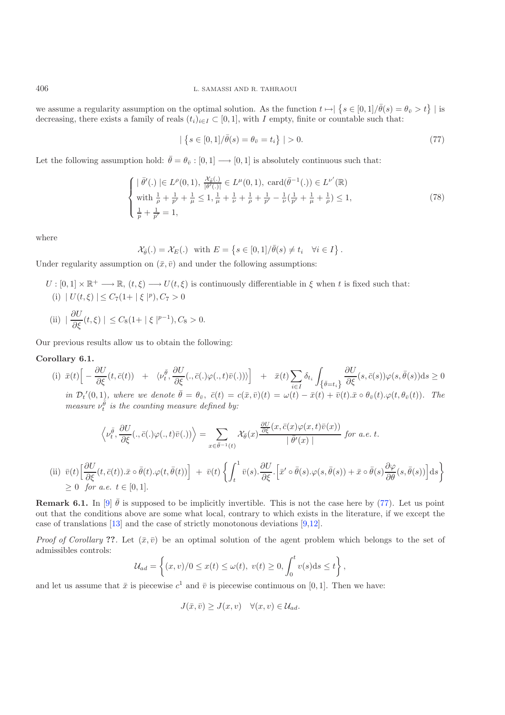we assume a regularity assumption on the optimal solution. As the function  $t \mapsto \left\{ s \in [0,1] / \bar{\theta}(s) = \theta_{\bar{v}} > t \right\}$  is<br>decreasing there exists a family of reals  $(t_1)$ ,  $\in [0, 1]$  with Lempty finite or countable such tha decreasing, there exists a family of reals  $(t_i)_{i\in I} \subset [0,1]$ , with I empty, finite or countable such that:

$$
|\{s \in [0,1]/\bar{\theta}(s) = \theta_{\bar{v}} = t_i\}| > 0.
$$
\n(77)

Let the following assumption hold:  $\bar{\theta} = \theta_{\bar{v}} : [0, 1] \longrightarrow [0, 1]$  is absolutely continuous such that:

$$
\begin{cases} \left| \bar{\theta}'(.) \right| \in L^{\rho}(0,1), \frac{\chi_{\bar{\theta}}(.)}{|\theta'(.)|} \in L^{\mu}(0,1), \operatorname{card}(\bar{\theta}^{-1}(.)) \in L^{\nu'}(\mathbb{R})\\ \text{with } \frac{1}{\rho} + \frac{1}{p'} + \frac{1}{\mu} \leq 1, \frac{1}{\mu} + \frac{1}{\nu} + \frac{1}{\rho} + \frac{1}{p'} - \frac{1}{\nu}(\frac{1}{p'} + \frac{1}{\mu} + \frac{1}{\rho}) \leq 1, \\ \frac{1}{p} + \frac{1}{p'} = 1, \end{cases} \tag{78}
$$

where

$$
\mathcal{X}_{\bar{\theta}}(.) = \mathcal{X}_E(.) \text{ with } E = \left\{ s \in [0, 1] / \bar{\theta}(s) \neq t_i \quad \forall i \in I \right\}.
$$

Under regularity assumption on  $(\bar{x}, \bar{v})$  and under the following assumptions:

 $U: [0,1] \times \mathbb{R}^+ \longrightarrow \mathbb{R}, (t,\xi) \longrightarrow U(t,\xi)$  is continuously differentiable in  $\xi$  when t is fixed such that: (i)  $|U(t,\xi)| \leq C_7(1+|\xi|^p), C_7 > 0$ (ii)  $|\frac{\partial U}{\partial \xi}(t,\xi)| \leq C_8(1+|\xi|^{p-1}), C_8 > 0.$ 

Our previous results allow us to obtain the following:

#### **Corollary 6.1.**

 $(ii)$ 

(i) 
$$
\bar{x}(t) \left[ -\frac{\partial U}{\partial \xi}(t, \bar{c}(t)) + \langle \nu_t^{\bar{\theta}}, \frac{\partial U}{\partial \xi}(\cdot, \bar{c}(\cdot)\varphi(\cdot, t)\bar{v}(\cdot)) \rangle \right] + \bar{x}(t) \sum_{i \in I} \delta_{t_i} \int_{\{\bar{\theta} = t_i\}} \frac{\partial U}{\partial \xi}(s, \bar{c}(s)) \varphi(s, \bar{\theta}(s)) \, ds \ge 0
$$
  
in  $\mathcal{D}_t'(0, 1)$ , where we denote  $\bar{\theta} = \theta_{\bar{v}}, \bar{c}(t) = c(\bar{x}, \bar{v})(t) = \omega(t) - \bar{x}(t) + \bar{v}(t) \cdot \bar{x} \circ \theta_{\bar{v}}(t) \cdot \varphi(t, \theta_{\bar{v}}(t))$ . The  
measure  $\nu_{\bar{\theta}}^{\bar{\theta}}$  is the counting measure defined by:

*measure*  $\nu_t^{\hat{\theta}}$  *is the counting measure defined by:* 

$$
\left\langle \nu_t^{\bar{\theta}}, \frac{\partial U}{\partial \xi} (.,\bar{c}(.)\varphi(.,t)\bar{v}(.) ) \right\rangle = \sum_{x \in \bar{\theta}^{-1}(t)} \mathcal{X}_{\bar{\theta}}(x) \frac{\frac{\partial U}{\partial \xi}(x,\bar{c}(x)\varphi(x,t)\bar{v}(x))}{|\bar{\theta}'(x)|} \text{ for a.e. } t.
$$
  

$$
\bar{v}(t) \left[ \frac{\partial U}{\partial \xi}(t,\bar{c}(t)).\bar{x} \circ \bar{\theta}(t).\varphi(t,\bar{\theta}(t)) \right] + \bar{v}(t) \left\{ \int_t^1 \bar{v}(s).\frac{\partial U}{\partial \xi} .\left[ \bar{x}' \circ \bar{\theta}(s).\varphi(s,\bar{\theta}(s)) + \bar{x} \circ \bar{\theta}(s) \frac{\partial \varphi}{\partial \theta}(s,\bar{\theta}(s)) \right] ds \right\}
$$
  
 $\geq 0 \text{ for a.e. } t \in [0,1].$ 

**Remark 6.1.** In [\[9](#page-28-1)]  $\bar{\theta}$  is supposed to be implicitly invertible. This is not the case here by [\(77\)](#page-24-0). Let us point out that the conditions above are some what local, contrary to which exists in the literature, if we except the case of translations [\[13\]](#page-28-16) and the case of strictly monotonous deviations [\[9](#page-28-1)[,12\]](#page-28-8).

*Proof of Corollary* ??. Let  $(\bar{x}, \bar{v})$  be an optimal solution of the agent problem which belongs to the set of admissibles controls:

$$
\mathcal{U}_{ad} = \left\{ (x, v)/0 \le x(t) \le \omega(t), \ v(t) \ge 0, \int_0^t v(s) \mathrm{d}s \le t \right\},\
$$

and let us assume that  $\bar{x}$  is piecewise  $c^1$  and  $\bar{v}$  is piecewise continuous on [0, 1]. Then we have:

$$
J(\bar{x}, \bar{v}) \ge J(x, v) \quad \forall (x, v) \in \mathcal{U}_{ad}.
$$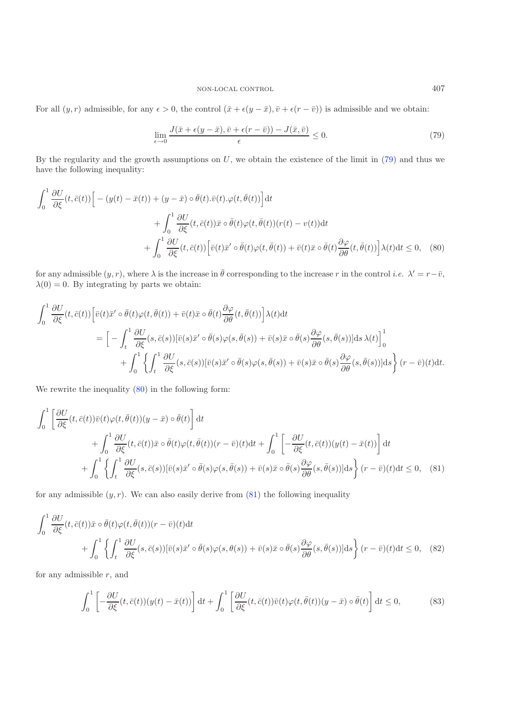### <span id="page-26-1"></span>NON-LOCAL CONTROL 407

<span id="page-26-0"></span>For all  $(y, r)$  admissible, for any  $\epsilon > 0$ , the control  $(\bar{x} + \epsilon(y - \bar{x}), \bar{v} + \epsilon(r - \bar{v}))$  is admissible and we obtain:

<span id="page-26-2"></span>
$$
\lim_{\epsilon \to 0} \frac{J(\bar{x} + \epsilon(y - \bar{x}), \bar{v} + \epsilon(r - \bar{v})) - J(\bar{x}, \bar{v})}{\epsilon} \le 0.
$$
\n(79)

By the regularity and the growth assumptions on  $U$ , we obtain the existence of the limit in  $(79)$  and thus we have the following inequality:

$$
\int_{0}^{1} \frac{\partial U}{\partial \xi}(t, \bar{c}(t)) \Big[ - (y(t) - \bar{x}(t)) + (y - \bar{x}) \circ \bar{\theta}(t). \bar{v}(t). \varphi(t, \bar{\theta}(t)) \Big] dt + \int_{0}^{1} \frac{\partial U}{\partial \xi}(t, \bar{c}(t)) \bar{x} \circ \bar{\theta}(t) \varphi(t, \bar{\theta}(t)) (r(t) - v(t)) dt + \int_{0}^{1} \frac{\partial U}{\partial \xi}(t, \bar{c}(t)) \Big[ \bar{v}(t) \bar{x}' \circ \bar{\theta}(t) \varphi(t, \bar{\theta}(t)) + \bar{v}(t) \bar{x} \circ \bar{\theta}(t) \frac{\partial \varphi}{\partial \theta}(t, \bar{\theta}(t)) \Big] \lambda(t) dt \le 0, \quad (80)
$$

for any admissible  $(y, r)$ , where  $\lambda$  is the increase in  $\bar{\theta}$  corresponding to the increase r in the control *i.e.*  $\lambda' = r - \bar{v}$ ,  $\lambda(0) = 0$ . By integrating by parts we obtain:

$$
\int_{0}^{1} \frac{\partial U}{\partial \xi}(t, \bar{c}(t)) \left[ \bar{v}(t)\bar{x}' \circ \bar{\theta}(t)\varphi(t, \bar{\theta}(t)) + \bar{v}(t)\bar{x} \circ \bar{\theta}(t) \frac{\partial \varphi}{\partial \theta}(t, \bar{\theta}(t)) \right] \lambda(t) dt
$$
\n
$$
= \left[ -\int_{t}^{1} \frac{\partial U}{\partial \xi}(s, \bar{c}(s)) [\bar{v}(s)\bar{x}' \circ \bar{\theta}(s)\varphi(s, \bar{\theta}(s)) + \bar{v}(s)\bar{x} \circ \bar{\theta}(s) \frac{\partial \varphi}{\partial \theta}(s, \bar{\theta}(s))] ds \lambda(t) \right]_{0}^{1}
$$
\n
$$
+ \int_{0}^{1} \left\{ \int_{t}^{1} \frac{\partial U}{\partial \xi}(s, \bar{c}(s)) [\bar{v}(s)\bar{x}' \circ \bar{\theta}(s)\varphi(s, \bar{\theta}(s)) + \bar{v}(s)\bar{x} \circ \bar{\theta}(s) \frac{\partial \varphi}{\partial \theta}(s, \bar{\theta}(s))] ds \right\} (r - \bar{v})(t) dt.
$$

We rewrite the inequality [\(80\)](#page-26-1) in the following form:

<span id="page-26-4"></span>
$$
\int_{0}^{1} \left[ \frac{\partial U}{\partial \xi}(t, \bar{c}(t)) \bar{v}(t) \varphi(t, \bar{\theta}(t)) (y - \bar{x}) \circ \bar{\theta}(t) \right] dt + \int_{0}^{1} \frac{\partial U}{\partial \xi}(t, \bar{c}(t)) \bar{x} \circ \bar{\theta}(t) \varphi(t, \bar{\theta}(t)) (r - \bar{v})(t) dt + \int_{0}^{1} \left[ -\frac{\partial U}{\partial \xi}(t, \bar{c}(t)) (y(t) - \bar{x}(t)) \right] dt + \int_{0}^{1} \left\{ \int_{t}^{1} \frac{\partial U}{\partial \xi}(s, \bar{c}(s)) [\bar{v}(s) \bar{x}' \circ \bar{\theta}(s) \varphi(s, \bar{\theta}(s)) + \bar{v}(s) \bar{x} \circ \bar{\theta}(s) \frac{\partial \varphi}{\partial \theta}(s, \bar{\theta}(s))] ds \right\} (r - \bar{v})(t) dt \leq 0, \quad (81)
$$

<span id="page-26-3"></span>for any admissible  $(y, r)$ . We can also easily derive from  $(81)$  the following inequality

$$
\int_{0}^{1} \frac{\partial U}{\partial \xi}(t, \bar{c}(t)) \bar{x} \circ \bar{\theta}(t) \varphi(t, \bar{\theta}(t)) (r - \bar{v})(t) dt + \int_{0}^{1} \left\{ \int_{t}^{1} \frac{\partial U}{\partial \xi}(s, \bar{c}(s)) [\bar{v}(s) \bar{x}' \circ \bar{\theta}(s) \varphi(s, \theta(s)) + \bar{v}(s) \bar{x} \circ \bar{\theta}(s) \frac{\partial \varphi}{\partial \theta}(s, \bar{\theta}(s))] ds \right\} (r - \bar{v})(t) dt \leq 0, \quad (82)
$$

for any admissible  $r$ , and

$$
\int_0^1 \left[ -\frac{\partial U}{\partial \xi}(t, \bar{c}(t)) (y(t) - \bar{x}(t)) \right] dt + \int_0^1 \left[ \frac{\partial U}{\partial \xi}(t, \bar{c}(t)) \bar{v}(t) \varphi(t, \bar{\theta}(t)) (y - \bar{x}) \circ \bar{\theta}(t) \right] dt \le 0,
$$
\n(83)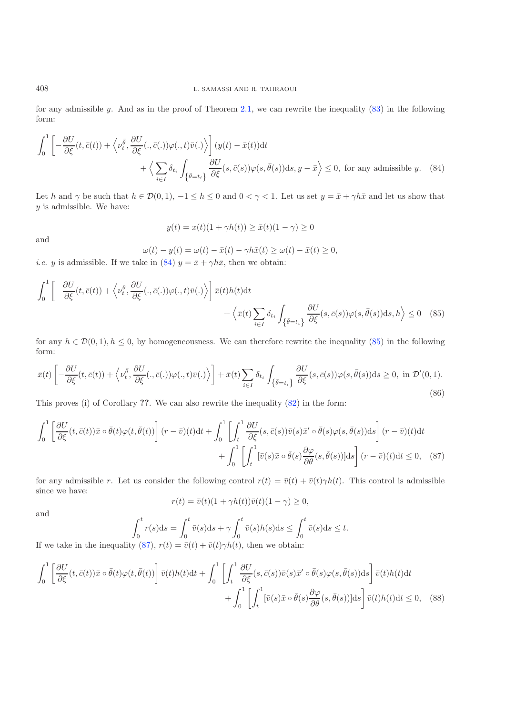for any admissible y. And as in the proof of Theorem [2.1,](#page-9-4) we can rewrite the inequality [\(83\)](#page-26-3) in the following form:

$$
\int_0^1 \left[ -\frac{\partial U}{\partial \xi}(t, \bar{c}(t)) + \left\langle \nu_t^{\bar{\theta}}, \frac{\partial U}{\partial \xi} (., \bar{c}(.)) \varphi (., t) \bar{v}(.) \right\rangle \right] (y(t) - \bar{x}(t)) dt \n+ \left\langle \sum_{i \in I} \delta_{t_i} \int_{\{\bar{\theta} = t_i\}} \frac{\partial U}{\partial \xi}(s, \bar{c}(s)) \varphi(s, \bar{\theta}(s)) ds, y - \bar{x} \right\rangle \le 0, \text{ for any admissible } y. \quad (84)
$$

Let h and  $\gamma$  be such that  $h \in \mathcal{D}(0,1), -1 \leq h \leq 0$  and  $0 < \gamma < 1$ . Let us set  $y = \bar{x} + \gamma h\bar{x}$  and let us show that  $y$  is admissible. We have:

<span id="page-27-2"></span><span id="page-27-1"></span><span id="page-27-0"></span>
$$
y(t) = x(t)(1 + \gamma h(t)) \ge \bar{x}(t)(1 - \gamma) \ge 0
$$

and

 $\omega(t) - y(t) = \omega(t) - \bar{x}(t) - \gamma h \bar{x}(t) \ge \omega(t) - \bar{x}(t) \ge 0,$ 

*i.e.* y is admissible. If we take in [\(84\)](#page-27-0)  $y = \bar{x} + \gamma h \bar{x}$ , then we obtain:

$$
\int_{0}^{1} \left[ -\frac{\partial U}{\partial \xi}(t, \bar{c}(t)) + \left\langle \nu_t^{\theta}, \frac{\partial U}{\partial \xi} (., \bar{c}(.) )\varphi(., t) \bar{v}(.) \right\rangle \right] \bar{x}(t) h(t) dt + \left\langle \bar{x}(t) \sum_{i \in I} \delta_{t_i} \int_{\{\bar{\theta} = t_i\}} \frac{\partial U}{\partial \xi}(s, \bar{c}(s)) \varphi(s, \bar{\theta}(s)) ds, h \right\rangle \le 0 \quad (85)
$$

for any  $h \in \mathcal{D}(0,1), h \leq 0$ , by homogeneousness. We can therefore rewrite the inequality [\(85\)](#page-27-1) in the following form:

$$
\bar{x}(t) \left[ -\frac{\partial U}{\partial \xi}(t, \bar{c}(t)) + \left\langle \nu_t^{\bar{\theta}}, \frac{\partial U}{\partial \xi}(:, \bar{c}(.) )\varphi(., t)\bar{v}(.) \right\rangle \right] + \bar{x}(t) \sum_{i \in I} \delta_{t_i} \int_{\{\bar{\theta} = t_i\}} \frac{\partial U}{\partial \xi}(s, \bar{c}(s)) \varphi(s, \bar{\theta}(s)) \, \mathrm{d}s \ge 0, \text{ in } \mathcal{D}'(0, 1). \tag{86}
$$

This proves (i) of Corollary **??**. We can also rewrite the inequality [\(82\)](#page-26-4) in the form:

$$
\int_{0}^{1} \left[ \frac{\partial U}{\partial \xi}(t, \bar{c}(t)) \bar{x} \circ \bar{\theta}(t) \varphi(t, \bar{\theta}(t)) \right] (r - \bar{v})(t) dt + \int_{0}^{1} \left[ \int_{t}^{1} \frac{\partial U}{\partial \xi}(s, \bar{c}(s)) \bar{v}(s) \bar{x}' \circ \bar{\theta}(s) \varphi(s, \bar{\theta}(s)) ds \right] (r - \bar{v})(t) dt + \int_{0}^{1} \left[ \int_{t}^{1} [\bar{v}(s) \bar{x} \circ \bar{\theta}(s) \frac{\partial \varphi}{\partial \theta}(s, \bar{\theta}(s))] ds \right] (r - \bar{v})(t) dt \leq 0, \quad (87)
$$

for any admissible r. Let us consider the following control  $r(t)=\bar{v}(t)+\bar{v}(t)\gamma h(t)$ . This control is admissible since we have:

$$
r(t) = \bar{v}(t)(1 + \gamma h(t))\bar{v}(t)(1 - \gamma) \ge 0,
$$

and

$$
\int_0^t r(s)ds = \int_0^t \bar{v}(s)ds + \gamma \int_0^t \bar{v}(s)h(s)ds \le \int_0^t \bar{v}(s)ds \le t.
$$
  
or (87)  $r(t) = \bar{v}(t) + \bar{v}(t)c_0h(t)$  then we obtain:

If we take in the inequality [\(87\)](#page-27-2),  $r(t)=\bar{v}(t)+\bar{v}(t)\gamma h(t)$ , then we obtain:

$$
\int_{0}^{1} \left[ \frac{\partial U}{\partial \xi}(t, \bar{c}(t)) \bar{x} \circ \bar{\theta}(t) \varphi(t, \bar{\theta}(t)) \right] \bar{v}(t) h(t) dt + \int_{0}^{1} \left[ \int_{t}^{1} \frac{\partial U}{\partial \xi}(s, \bar{c}(s)) \bar{v}(s) \bar{x}' \circ \bar{\theta}(s) \varphi(s, \bar{\theta}(s)) ds \right] \bar{v}(t) h(t) dt + \int_{0}^{1} \left[ \int_{t}^{1} \left[ \bar{v}(s) \bar{x} \circ \bar{\theta}(s) \frac{\partial \varphi}{\partial \theta}(s, \bar{\theta}(s)) \right] ds \right] \bar{v}(t) h(t) dt \leq 0, \quad (88)
$$